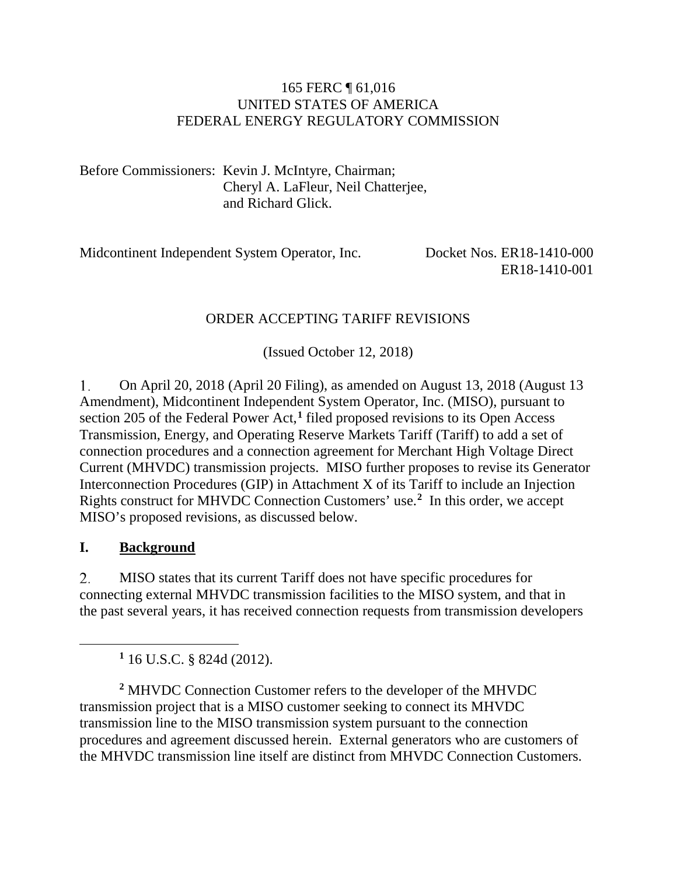#### 165 FERC ¶ 61,016 UNITED STATES OF AMERICA FEDERAL ENERGY REGULATORY COMMISSION

Before Commissioners: Kevin J. McIntyre, Chairman; Cheryl A. LaFleur, Neil Chatterjee, and Richard Glick.

Midcontinent Independent System Operator, Inc. Docket Nos. ER18-1410-000

ER18-1410-001

## ORDER ACCEPTING TARIFF REVISIONS

(Issued October 12, 2018)

On April 20, 2018 (April 20 Filing), as amended on August 13, 2018 (August 13  $1_{\cdot}$ Amendment), Midcontinent Independent System Operator, Inc. (MISO), pursuant to section 205 of the Federal Power Act,**[1](#page-0-0)** filed proposed revisions to its Open Access Transmission, Energy, and Operating Reserve Markets Tariff (Tariff) to add a set of connection procedures and a connection agreement for Merchant High Voltage Direct Current (MHVDC) transmission projects. MISO further proposes to revise its Generator Interconnection Procedures (GIP) in Attachment X of its Tariff to include an Injection Rights construct for MHVDC Connection Customers' use. **[2](#page-0-1)** In this order, we accept MISO's proposed revisions, as discussed below.

## **I. Background**

<span id="page-0-0"></span> $\overline{a}$ 

2. MISO states that its current Tariff does not have specific procedures for connecting external MHVDC transmission facilities to the MISO system, and that in the past several years, it has received connection requests from transmission developers

**<sup>1</sup>** 16 U.S.C. § 824d (2012).

<span id="page-0-1"></span>**<sup>2</sup>** MHVDC Connection Customer refers to the developer of the MHVDC transmission project that is a MISO customer seeking to connect its MHVDC transmission line to the MISO transmission system pursuant to the connection procedures and agreement discussed herein. External generators who are customers of the MHVDC transmission line itself are distinct from MHVDC Connection Customers.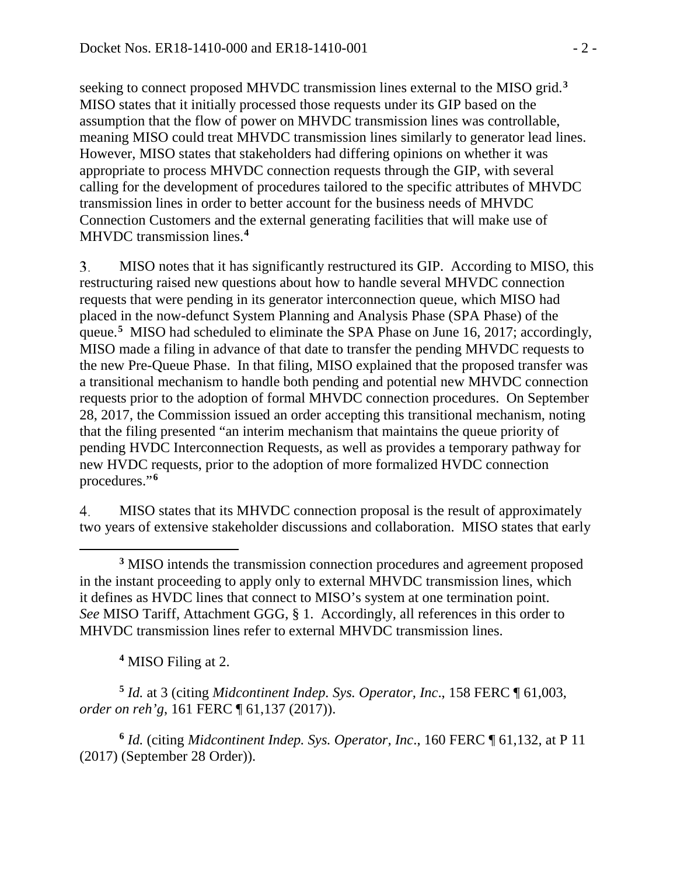seeking to connect proposed MHVDC transmission lines external to the MISO grid.**[3](#page-1-0)** MISO states that it initially processed those requests under its GIP based on the assumption that the flow of power on MHVDC transmission lines was controllable, meaning MISO could treat MHVDC transmission lines similarly to generator lead lines. However, MISO states that stakeholders had differing opinions on whether it was appropriate to process MHVDC connection requests through the GIP, with several calling for the development of procedures tailored to the specific attributes of MHVDC transmission lines in order to better account for the business needs of MHVDC Connection Customers and the external generating facilities that will make use of MHVDC transmission lines. **[4](#page-1-1)**

3. MISO notes that it has significantly restructured its GIP. According to MISO, this restructuring raised new questions about how to handle several MHVDC connection requests that were pending in its generator interconnection queue, which MISO had placed in the now-defunct System Planning and Analysis Phase (SPA Phase) of the queue. **[5](#page-1-2)** MISO had scheduled to eliminate the SPA Phase on June 16, 2017; accordingly, MISO made a filing in advance of that date to transfer the pending MHVDC requests to the new Pre-Queue Phase. In that filing, MISO explained that the proposed transfer was a transitional mechanism to handle both pending and potential new MHVDC connection requests prior to the adoption of formal MHVDC connection procedures. On September 28, 2017, the Commission issued an order accepting this transitional mechanism, noting that the filing presented "an interim mechanism that maintains the queue priority of pending HVDC Interconnection Requests, as well as provides a temporary pathway for new HVDC requests, prior to the adoption of more formalized HVDC connection procedures."**[6](#page-1-3)**

 $4.$ MISO states that its MHVDC connection proposal is the result of approximately two years of extensive stakeholder discussions and collaboration. MISO states that early

**<sup>4</sup>** MISO Filing at 2.

 $\overline{a}$ 

<span id="page-1-2"></span><span id="page-1-1"></span>**<sup>5</sup>** *Id.* at 3 (citing *Midcontinent Indep. Sys. Operator, Inc*., 158 FERC ¶ 61,003, *order on reh'g*, 161 FERC ¶ 61,137 (2017)).

<span id="page-1-3"></span>**<sup>6</sup>** *Id.* (citing *Midcontinent Indep. Sys. Operator, Inc*., 160 FERC ¶ 61,132, at P 11 (2017) (September 28 Order)).

<span id="page-1-0"></span>**<sup>3</sup>** MISO intends the transmission connection procedures and agreement proposed in the instant proceeding to apply only to external MHVDC transmission lines, which it defines as HVDC lines that connect to MISO's system at one termination point. *See* MISO Tariff, Attachment GGG, § 1. Accordingly, all references in this order to MHVDC transmission lines refer to external MHVDC transmission lines.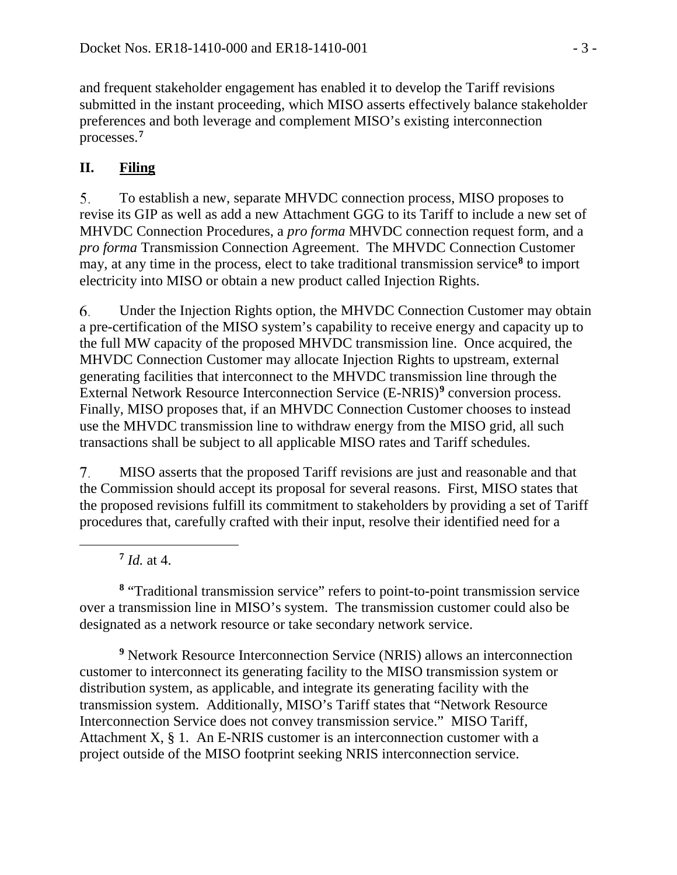and frequent stakeholder engagement has enabled it to develop the Tariff revisions submitted in the instant proceeding, which MISO asserts effectively balance stakeholder preferences and both leverage and complement MISO's existing interconnection processes.**[7](#page-2-0)**

## **II. Filing**

5. To establish a new, separate MHVDC connection process, MISO proposes to revise its GIP as well as add a new Attachment GGG to its Tariff to include a new set of MHVDC Connection Procedures, a *pro forma* MHVDC connection request form, and a *pro forma* Transmission Connection Agreement. The MHVDC Connection Customer may, at any time in the process, elect to take traditional transmission service**[8](#page-2-1)** to import electricity into MISO or obtain a new product called Injection Rights.

6. Under the Injection Rights option, the MHVDC Connection Customer may obtain a pre-certification of the MISO system's capability to receive energy and capacity up to the full MW capacity of the proposed MHVDC transmission line. Once acquired, the MHVDC Connection Customer may allocate Injection Rights to upstream, external generating facilities that interconnect to the MHVDC transmission line through the External Network Resource Interconnection Service (E-NRIS)**[9](#page-2-2)** conversion process. Finally, MISO proposes that, if an MHVDC Connection Customer chooses to instead use the MHVDC transmission line to withdraw energy from the MISO grid, all such transactions shall be subject to all applicable MISO rates and Tariff schedules.

7. MISO asserts that the proposed Tariff revisions are just and reasonable and that the Commission should accept its proposal for several reasons. First, MISO states that the proposed revisions fulfill its commitment to stakeholders by providing a set of Tariff procedures that, carefully crafted with their input, resolve their identified need for a

**<sup>7</sup>** *Id.* at 4.

<span id="page-2-0"></span> $\overline{a}$ 

<span id="page-2-1"></span>**<sup>8</sup>** "Traditional transmission service" refers to point-to-point transmission service over a transmission line in MISO's system. The transmission customer could also be designated as a network resource or take secondary network service.

<span id="page-2-2"></span>**<sup>9</sup>** Network Resource Interconnection Service (NRIS) allows an interconnection customer to interconnect its generating facility to the MISO transmission system or distribution system, as applicable, and integrate its generating facility with the transmission system. Additionally, MISO's Tariff states that "Network Resource Interconnection Service does not convey transmission service." MISO Tariff, Attachment  $X$ ,  $\S$  1. An E-NRIS customer is an interconnection customer with a project outside of the MISO footprint seeking NRIS interconnection service.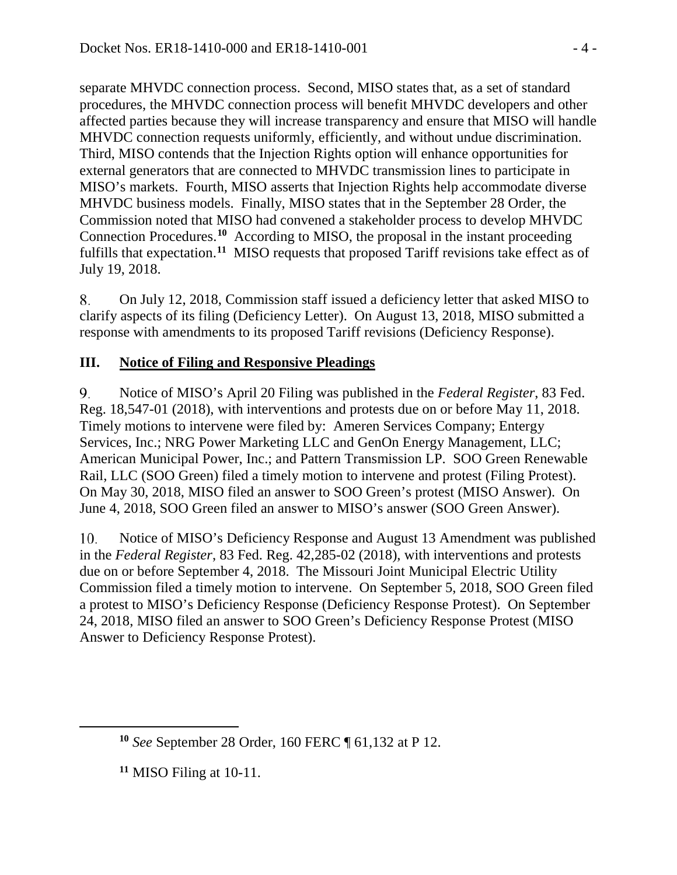separate MHVDC connection process. Second, MISO states that, as a set of standard procedures, the MHVDC connection process will benefit MHVDC developers and other affected parties because they will increase transparency and ensure that MISO will handle MHVDC connection requests uniformly, efficiently, and without undue discrimination. Third, MISO contends that the Injection Rights option will enhance opportunities for external generators that are connected to MHVDC transmission lines to participate in MISO's markets. Fourth, MISO asserts that Injection Rights help accommodate diverse MHVDC business models. Finally, MISO states that in the September 28 Order, the Commission noted that MISO had convened a stakeholder process to develop MHVDC Connection Procedures. **[10](#page-3-0)** According to MISO, the proposal in the instant proceeding fulfills that expectation.**[11](#page-3-1)** MISO requests that proposed Tariff revisions take effect as of July 19, 2018.

8. On July 12, 2018, Commission staff issued a deficiency letter that asked MISO to clarify aspects of its filing (Deficiency Letter). On August 13, 2018, MISO submitted a response with amendments to its proposed Tariff revisions (Deficiency Response).

## **III. Notice of Filing and Responsive Pleadings**

9. Notice of MISO's April 20 Filing was published in the *Federal Register*, 83 Fed. Reg. 18,547-01 (2018), with interventions and protests due on or before May 11, 2018. Timely motions to intervene were filed by: Ameren Services Company; Entergy Services, Inc.; NRG Power Marketing LLC and GenOn Energy Management, LLC; American Municipal Power, Inc.; and Pattern Transmission LP. SOO Green Renewable Rail, LLC (SOO Green) filed a timely motion to intervene and protest (Filing Protest). On May 30, 2018, MISO filed an answer to SOO Green's protest (MISO Answer). On June 4, 2018, SOO Green filed an answer to MISO's answer (SOO Green Answer).

10. Notice of MISO's Deficiency Response and August 13 Amendment was published in the *Federal Register*, 83 Fed. Reg. 42,285-02 (2018), with interventions and protests due on or before September 4, 2018. The Missouri Joint Municipal Electric Utility Commission filed a timely motion to intervene. On September 5, 2018, SOO Green filed a protest to MISO's Deficiency Response (Deficiency Response Protest). On September 24, 2018, MISO filed an answer to SOO Green's Deficiency Response Protest (MISO Answer to Deficiency Response Protest).

<span id="page-3-0"></span>**<sup>10</sup>** *See* September 28 Order, 160 FERC ¶ 61,132 at P 12.

<span id="page-3-1"></span>**<sup>11</sup>** MISO Filing at 10-11.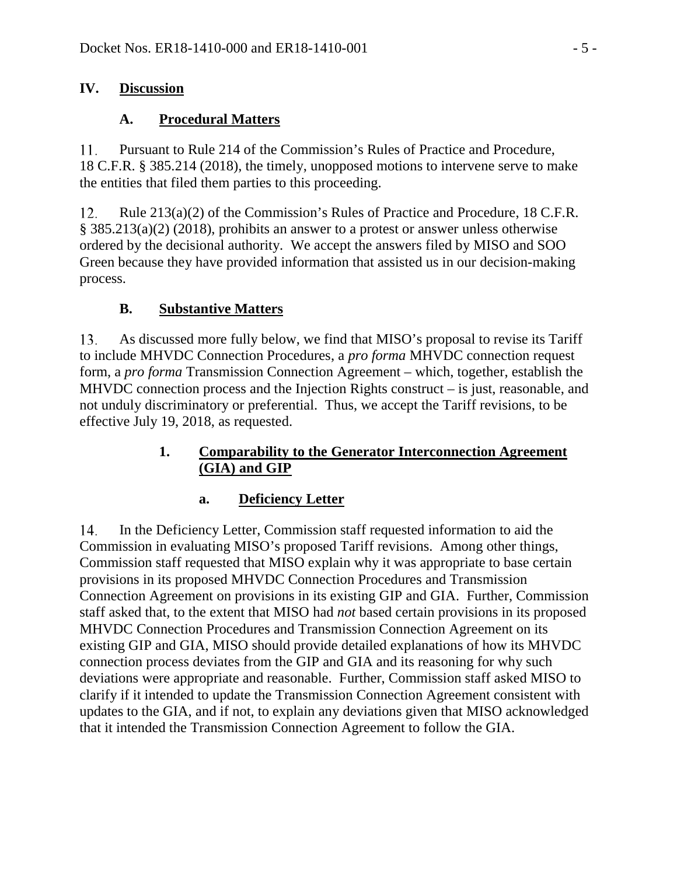## **IV. Discussion**

## **A. Procedural Matters**

Pursuant to Rule 214 of the Commission's Rules of Practice and Procedure, 11. 18 C.F.R. § 385.214 (2018), the timely, unopposed motions to intervene serve to make the entities that filed them parties to this proceeding.

12. Rule 213(a)(2) of the Commission's Rules of Practice and Procedure, 18 C.F.R. § 385.213(a)(2) (2018), prohibits an answer to a protest or answer unless otherwise ordered by the decisional authority. We accept the answers filed by MISO and SOO Green because they have provided information that assisted us in our decision-making process.

# **B. Substantive Matters**

13. As discussed more fully below, we find that MISO's proposal to revise its Tariff to include MHVDC Connection Procedures, a *pro forma* MHVDC connection request form, a *pro forma* Transmission Connection Agreement – which, together, establish the MHVDC connection process and the Injection Rights construct – is just, reasonable, and not unduly discriminatory or preferential. Thus, we accept the Tariff revisions, to be effective July 19, 2018, as requested.

## **1. Comparability to the Generator Interconnection Agreement (GIA) and GIP**

## **a. Deficiency Letter**

14. In the Deficiency Letter, Commission staff requested information to aid the Commission in evaluating MISO's proposed Tariff revisions. Among other things, Commission staff requested that MISO explain why it was appropriate to base certain provisions in its proposed MHVDC Connection Procedures and Transmission Connection Agreement on provisions in its existing GIP and GIA. Further, Commission staff asked that, to the extent that MISO had *not* based certain provisions in its proposed MHVDC Connection Procedures and Transmission Connection Agreement on its existing GIP and GIA, MISO should provide detailed explanations of how its MHVDC connection process deviates from the GIP and GIA and its reasoning for why such deviations were appropriate and reasonable. Further, Commission staff asked MISO to clarify if it intended to update the Transmission Connection Agreement consistent with updates to the GIA, and if not, to explain any deviations given that MISO acknowledged that it intended the Transmission Connection Agreement to follow the GIA.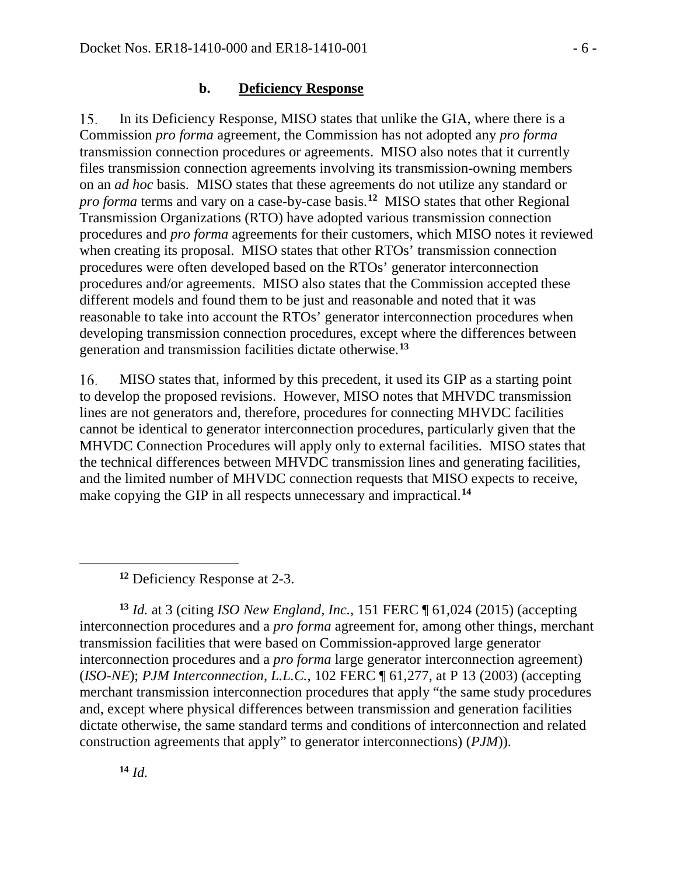#### **b. Deficiency Response**

15. In its Deficiency Response, MISO states that unlike the GIA, where there is a Commission *pro forma* agreement, the Commission has not adopted any *pro forma* transmission connection procedures or agreements. MISO also notes that it currently files transmission connection agreements involving its transmission-owning members on an *ad hoc* basis. MISO states that these agreements do not utilize any standard or *pro forma* terms and vary on a case-by-case basis.**[12](#page-5-0)** MISO states that other Regional Transmission Organizations (RTO) have adopted various transmission connection procedures and *pro forma* agreements for their customers, which MISO notes it reviewed when creating its proposal. MISO states that other RTOs' transmission connection procedures were often developed based on the RTOs' generator interconnection procedures and/or agreements. MISO also states that the Commission accepted these different models and found them to be just and reasonable and noted that it was reasonable to take into account the RTOs' generator interconnection procedures when developing transmission connection procedures, except where the differences between generation and transmission facilities dictate otherwise.**[13](#page-5-1)**

16. MISO states that, informed by this precedent, it used its GIP as a starting point to develop the proposed revisions. However, MISO notes that MHVDC transmission lines are not generators and, therefore, procedures for connecting MHVDC facilities cannot be identical to generator interconnection procedures, particularly given that the MHVDC Connection Procedures will apply only to external facilities. MISO states that the technical differences between MHVDC transmission lines and generating facilities, and the limited number of MHVDC connection requests that MISO expects to receive, make copying the GIP in all respects unnecessary and impractical.**[14](#page-5-2)**

**<sup>12</sup>** Deficiency Response at 2-3.

<span id="page-5-1"></span><span id="page-5-0"></span>**<sup>13</sup>** *Id.* at 3 (citing *ISO New England, Inc.*, 151 FERC ¶ 61,024 (2015) (accepting interconnection procedures and a *pro forma* agreement for, among other things, merchant transmission facilities that were based on Commission-approved large generator interconnection procedures and a *pro forma* large generator interconnection agreement) (*ISO-NE*); *PJM Interconnection, L.L.C.*, 102 FERC ¶ 61,277, at P 13 (2003) (accepting merchant transmission interconnection procedures that apply "the same study procedures and, except where physical differences between transmission and generation facilities dictate otherwise, the same standard terms and conditions of interconnection and related construction agreements that apply" to generator interconnections) (*PJM*)).

<span id="page-5-2"></span>**<sup>14</sup>** *Id.*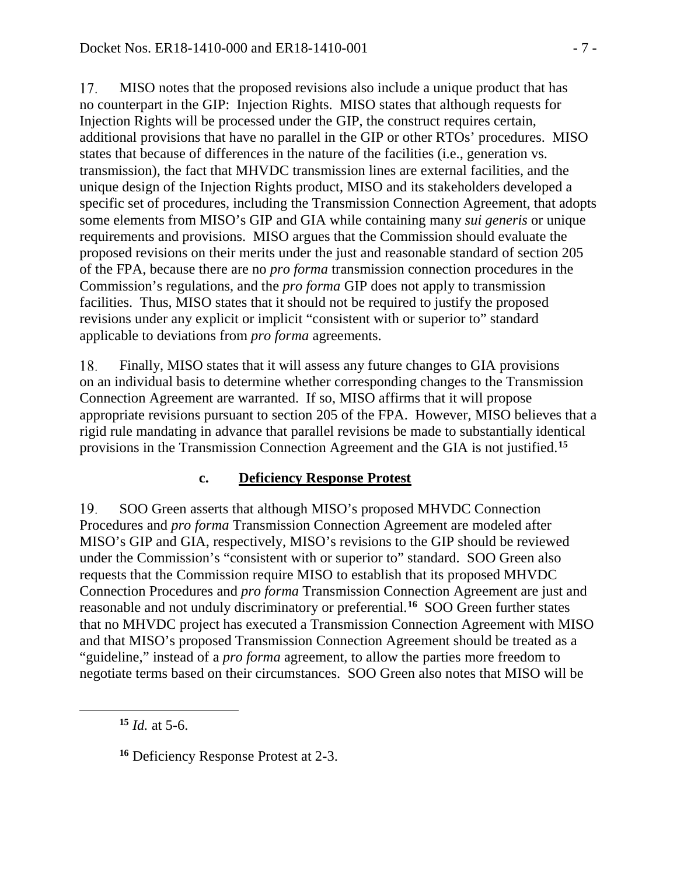17. MISO notes that the proposed revisions also include a unique product that has no counterpart in the GIP: Injection Rights. MISO states that although requests for Injection Rights will be processed under the GIP, the construct requires certain, additional provisions that have no parallel in the GIP or other RTOs' procedures. MISO states that because of differences in the nature of the facilities (i.e., generation vs. transmission), the fact that MHVDC transmission lines are external facilities, and the unique design of the Injection Rights product, MISO and its stakeholders developed a specific set of procedures, including the Transmission Connection Agreement, that adopts some elements from MISO's GIP and GIA while containing many *sui generis* or unique requirements and provisions. MISO argues that the Commission should evaluate the proposed revisions on their merits under the just and reasonable standard of section 205 of the FPA, because there are no *pro forma* transmission connection procedures in the Commission's regulations, and the *pro forma* GIP does not apply to transmission facilities. Thus, MISO states that it should not be required to justify the proposed revisions under any explicit or implicit "consistent with or superior to" standard applicable to deviations from *pro forma* agreements.

18. Finally, MISO states that it will assess any future changes to GIA provisions on an individual basis to determine whether corresponding changes to the Transmission Connection Agreement are warranted. If so, MISO affirms that it will propose appropriate revisions pursuant to section 205 of the FPA. However, MISO believes that a rigid rule mandating in advance that parallel revisions be made to substantially identical provisions in the Transmission Connection Agreement and the GIA is not justified.**[15](#page-6-0)**

## **c. Deficiency Response Protest**

19. SOO Green asserts that although MISO's proposed MHVDC Connection Procedures and *pro forma* Transmission Connection Agreement are modeled after MISO's GIP and GIA, respectively, MISO's revisions to the GIP should be reviewed under the Commission's "consistent with or superior to" standard. SOO Green also requests that the Commission require MISO to establish that its proposed MHVDC Connection Procedures and *pro forma* Transmission Connection Agreement are just and reasonable and not unduly discriminatory or preferential.**[16](#page-6-1)** SOO Green further states that no MHVDC project has executed a Transmission Connection Agreement with MISO and that MISO's proposed Transmission Connection Agreement should be treated as a "guideline," instead of a *pro forma* agreement, to allow the parties more freedom to negotiate terms based on their circumstances. SOO Green also notes that MISO will be

<span id="page-6-0"></span>**<sup>15</sup>** *Id.* at 5-6.

<span id="page-6-1"></span>**<sup>16</sup>** Deficiency Response Protest at 2-3.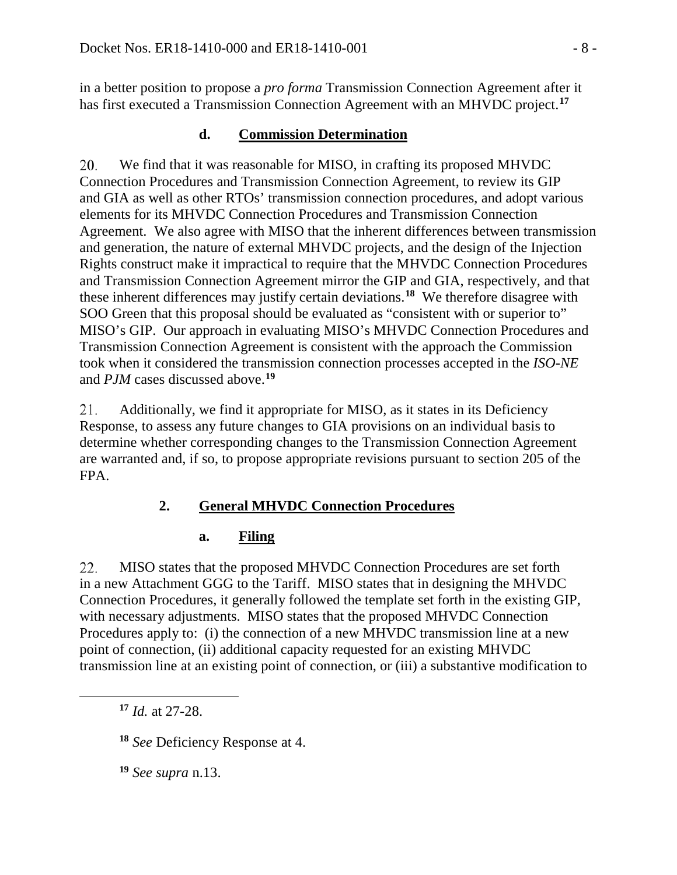in a better position to propose a *pro forma* Transmission Connection Agreement after it has first executed a Transmission Connection Agreement with an MHVDC project.**[17](#page-7-0)**

## **d. Commission Determination**

20. We find that it was reasonable for MISO, in crafting its proposed MHVDC Connection Procedures and Transmission Connection Agreement, to review its GIP and GIA as well as other RTOs' transmission connection procedures, and adopt various elements for its MHVDC Connection Procedures and Transmission Connection Agreement. We also agree with MISO that the inherent differences between transmission and generation, the nature of external MHVDC projects, and the design of the Injection Rights construct make it impractical to require that the MHVDC Connection Procedures and Transmission Connection Agreement mirror the GIP and GIA, respectively, and that these inherent differences may justify certain deviations. **[18](#page-7-1)** We therefore disagree with SOO Green that this proposal should be evaluated as "consistent with or superior to" MISO's GIP. Our approach in evaluating MISO's MHVDC Connection Procedures and Transmission Connection Agreement is consistent with the approach the Commission took when it considered the transmission connection processes accepted in the *ISO-NE*  and *PJM* cases discussed above.**[19](#page-7-2)**

21. Additionally, we find it appropriate for MISO, as it states in its Deficiency Response, to assess any future changes to GIA provisions on an individual basis to determine whether corresponding changes to the Transmission Connection Agreement are warranted and, if so, to propose appropriate revisions pursuant to section 205 of the FPA.

# **2. General MHVDC Connection Procedures**

# **a. Filing**

22. MISO states that the proposed MHVDC Connection Procedures are set forth in a new Attachment GGG to the Tariff. MISO states that in designing the MHVDC Connection Procedures, it generally followed the template set forth in the existing GIP, with necessary adjustments. MISO states that the proposed MHVDC Connection Procedures apply to: (i) the connection of a new MHVDC transmission line at a new point of connection, (ii) additional capacity requested for an existing MHVDC transmission line at an existing point of connection, or (iii) a substantive modification to

**<sup>17</sup>** *Id.* at 27-28.

<span id="page-7-2"></span><span id="page-7-1"></span><span id="page-7-0"></span> $\overline{a}$ 

**<sup>18</sup>** *See* Deficiency Response at 4.

**<sup>19</sup>** *See supra* n.13.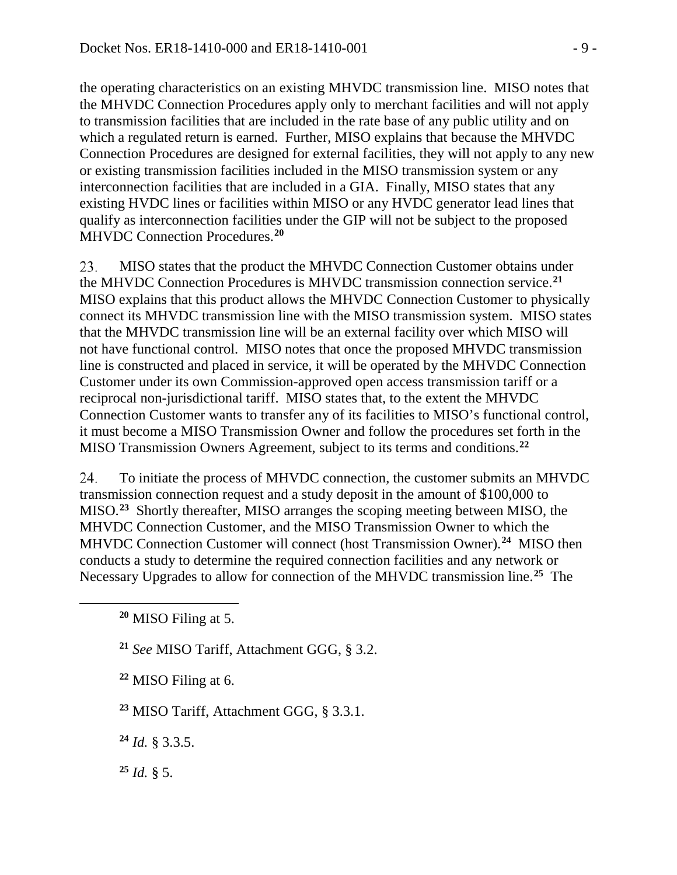the operating characteristics on an existing MHVDC transmission line. MISO notes that the MHVDC Connection Procedures apply only to merchant facilities and will not apply to transmission facilities that are included in the rate base of any public utility and on which a regulated return is earned. Further, MISO explains that because the MHVDC Connection Procedures are designed for external facilities, they will not apply to any new or existing transmission facilities included in the MISO transmission system or any interconnection facilities that are included in a GIA. Finally, MISO states that any existing HVDC lines or facilities within MISO or any HVDC generator lead lines that qualify as interconnection facilities under the GIP will not be subject to the proposed MHVDC Connection Procedures.**[20](#page-8-0)**

23. MISO states that the product the MHVDC Connection Customer obtains under the MHVDC Connection Procedures is MHVDC transmission connection service.**[21](#page-8-1)** MISO explains that this product allows the MHVDC Connection Customer to physically connect its MHVDC transmission line with the MISO transmission system. MISO states that the MHVDC transmission line will be an external facility over which MISO will not have functional control. MISO notes that once the proposed MHVDC transmission line is constructed and placed in service, it will be operated by the MHVDC Connection Customer under its own Commission-approved open access transmission tariff or a reciprocal non-jurisdictional tariff. MISO states that, to the extent the MHVDC Connection Customer wants to transfer any of its facilities to MISO's functional control, it must become a MISO Transmission Owner and follow the procedures set forth in the MISO Transmission Owners Agreement, subject to its terms and conditions.**[22](#page-8-2)**

24. To initiate the process of MHVDC connection, the customer submits an MHVDC transmission connection request and a study deposit in the amount of \$100,000 to MISO. **[23](#page-8-3)** Shortly thereafter, MISO arranges the scoping meeting between MISO, the MHVDC Connection Customer, and the MISO Transmission Owner to which the MHVDC Connection Customer will connect (host Transmission Owner). **[24](#page-8-4)** MISO then conducts a study to determine the required connection facilities and any network or Necessary Upgrades to allow for connection of the MHVDC transmission line. **[25](#page-8-5)** The

<span id="page-8-2"></span><span id="page-8-1"></span><span id="page-8-0"></span> $\overline{a}$ 

**<sup>22</sup>** MISO Filing at 6.

<span id="page-8-3"></span>**<sup>23</sup>** MISO Tariff, Attachment GGG, § 3.3.1.

<span id="page-8-4"></span>**<sup>24</sup>** *Id.* § 3.3.5.

<span id="page-8-5"></span>**<sup>25</sup>** *Id.* § 5.

**<sup>20</sup>** MISO Filing at 5.

**<sup>21</sup>** *See* MISO Tariff, Attachment GGG, § 3.2.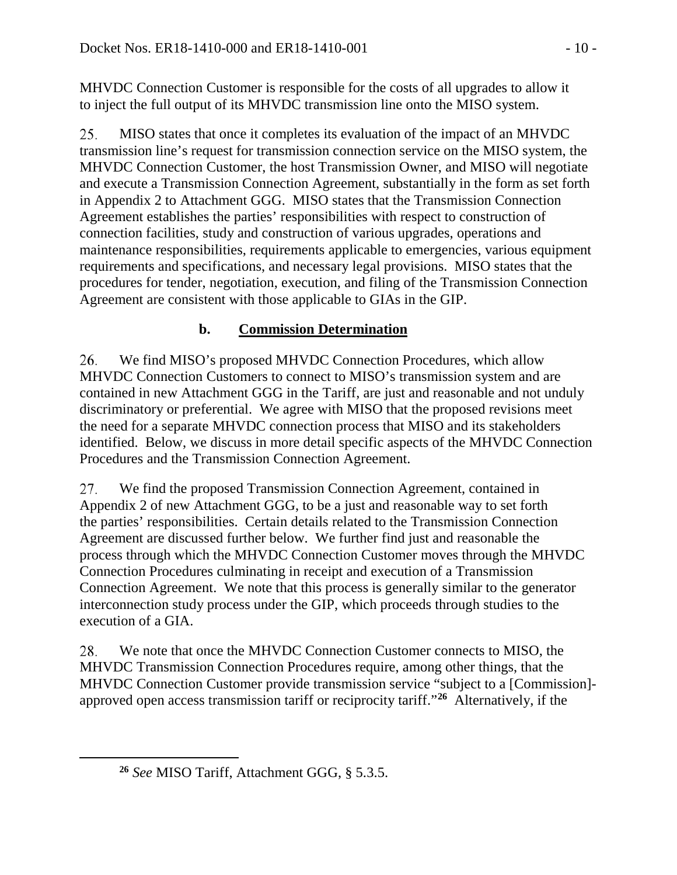MHVDC Connection Customer is responsible for the costs of all upgrades to allow it to inject the full output of its MHVDC transmission line onto the MISO system.

25. MISO states that once it completes its evaluation of the impact of an MHVDC transmission line's request for transmission connection service on the MISO system, the MHVDC Connection Customer, the host Transmission Owner, and MISO will negotiate and execute a Transmission Connection Agreement, substantially in the form as set forth in Appendix 2 to Attachment GGG. MISO states that the Transmission Connection Agreement establishes the parties' responsibilities with respect to construction of connection facilities, study and construction of various upgrades, operations and maintenance responsibilities, requirements applicable to emergencies, various equipment requirements and specifications, and necessary legal provisions. MISO states that the procedures for tender, negotiation, execution, and filing of the Transmission Connection Agreement are consistent with those applicable to GIAs in the GIP.

## **b. Commission Determination**

26. We find MISO's proposed MHVDC Connection Procedures, which allow MHVDC Connection Customers to connect to MISO's transmission system and are contained in new Attachment GGG in the Tariff, are just and reasonable and not unduly discriminatory or preferential. We agree with MISO that the proposed revisions meet the need for a separate MHVDC connection process that MISO and its stakeholders identified. Below, we discuss in more detail specific aspects of the MHVDC Connection Procedures and the Transmission Connection Agreement.

We find the proposed Transmission Connection Agreement, contained in 27. Appendix 2 of new Attachment GGG, to be a just and reasonable way to set forth the parties' responsibilities. Certain details related to the Transmission Connection Agreement are discussed further below. We further find just and reasonable the process through which the MHVDC Connection Customer moves through the MHVDC Connection Procedures culminating in receipt and execution of a Transmission Connection Agreement. We note that this process is generally similar to the generator interconnection study process under the GIP, which proceeds through studies to the execution of a GIA.

We note that once the MHVDC Connection Customer connects to MISO, the 28. MHVDC Transmission Connection Procedures require, among other things, that the MHVDC Connection Customer provide transmission service "subject to a [Commission] approved open access transmission tariff or reciprocity tariff."**[26](#page-9-0)** Alternatively, if the

<span id="page-9-0"></span>**<sup>26</sup>** *See* MISO Tariff, Attachment GGG, § 5.3.5.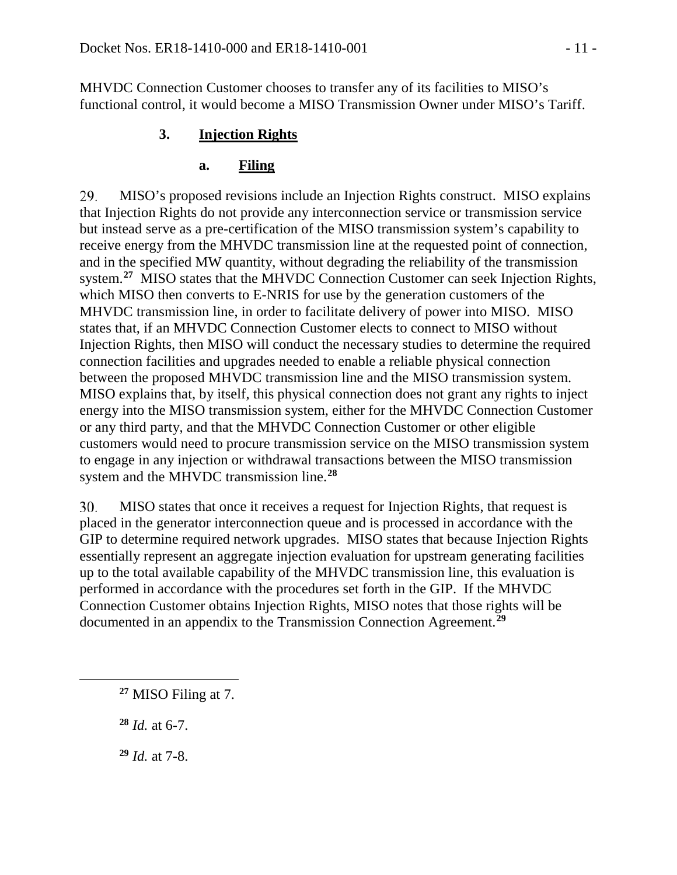MHVDC Connection Customer chooses to transfer any of its facilities to MISO's functional control, it would become a MISO Transmission Owner under MISO's Tariff.

### **3. Injection Rights**

#### **a. Filing**

29. MISO's proposed revisions include an Injection Rights construct. MISO explains that Injection Rights do not provide any interconnection service or transmission service but instead serve as a pre-certification of the MISO transmission system's capability to receive energy from the MHVDC transmission line at the requested point of connection, and in the specified MW quantity, without degrading the reliability of the transmission system. **[27](#page-10-0)** MISO states that the MHVDC Connection Customer can seek Injection Rights, which MISO then converts to E-NRIS for use by the generation customers of the MHVDC transmission line, in order to facilitate delivery of power into MISO. MISO states that, if an MHVDC Connection Customer elects to connect to MISO without Injection Rights, then MISO will conduct the necessary studies to determine the required connection facilities and upgrades needed to enable a reliable physical connection between the proposed MHVDC transmission line and the MISO transmission system. MISO explains that, by itself, this physical connection does not grant any rights to inject energy into the MISO transmission system, either for the MHVDC Connection Customer or any third party, and that the MHVDC Connection Customer or other eligible customers would need to procure transmission service on the MISO transmission system to engage in any injection or withdrawal transactions between the MISO transmission system and the MHVDC transmission line. **[28](#page-10-1)**

30. MISO states that once it receives a request for Injection Rights, that request is placed in the generator interconnection queue and is processed in accordance with the GIP to determine required network upgrades. MISO states that because Injection Rights essentially represent an aggregate injection evaluation for upstream generating facilities up to the total available capability of the MHVDC transmission line, this evaluation is performed in accordance with the procedures set forth in the GIP. If the MHVDC Connection Customer obtains Injection Rights, MISO notes that those rights will be documented in an appendix to the Transmission Connection Agreement. **[29](#page-10-2)**

**<sup>28</sup>** *Id.* at 6-7.

<span id="page-10-2"></span><span id="page-10-1"></span><span id="page-10-0"></span> $\overline{a}$ 

**<sup>29</sup>** *Id.* at 7-8.

**<sup>27</sup>** MISO Filing at 7.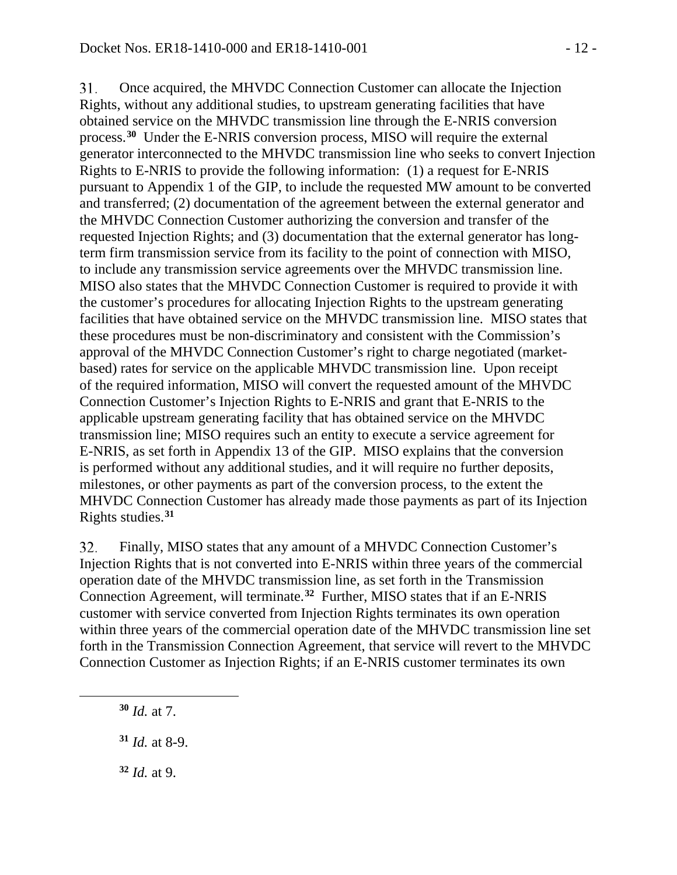31. Once acquired, the MHVDC Connection Customer can allocate the Injection Rights, without any additional studies, to upstream generating facilities that have obtained service on the MHVDC transmission line through the E-NRIS conversion process.**[30](#page-11-0)** Under the E-NRIS conversion process, MISO will require the external generator interconnected to the MHVDC transmission line who seeks to convert Injection Rights to E-NRIS to provide the following information: (1) a request for E-NRIS pursuant to Appendix 1 of the GIP, to include the requested MW amount to be converted and transferred; (2) documentation of the agreement between the external generator and the MHVDC Connection Customer authorizing the conversion and transfer of the requested Injection Rights; and (3) documentation that the external generator has longterm firm transmission service from its facility to the point of connection with MISO, to include any transmission service agreements over the MHVDC transmission line. MISO also states that the MHVDC Connection Customer is required to provide it with the customer's procedures for allocating Injection Rights to the upstream generating facilities that have obtained service on the MHVDC transmission line. MISO states that these procedures must be non-discriminatory and consistent with the Commission's approval of the MHVDC Connection Customer's right to charge negotiated (marketbased) rates for service on the applicable MHVDC transmission line. Upon receipt of the required information, MISO will convert the requested amount of the MHVDC Connection Customer's Injection Rights to E-NRIS and grant that E-NRIS to the applicable upstream generating facility that has obtained service on the MHVDC transmission line; MISO requires such an entity to execute a service agreement for E-NRIS, as set forth in Appendix 13 of the GIP. MISO explains that the conversion is performed without any additional studies, and it will require no further deposits, milestones, or other payments as part of the conversion process, to the extent the MHVDC Connection Customer has already made those payments as part of its Injection Rights studies.**[31](#page-11-1)**

32. Finally, MISO states that any amount of a MHVDC Connection Customer's Injection Rights that is not converted into E-NRIS within three years of the commercial operation date of the MHVDC transmission line, as set forth in the Transmission Connection Agreement, will terminate.**[32](#page-11-2)** Further, MISO states that if an E-NRIS customer with service converted from Injection Rights terminates its own operation within three years of the commercial operation date of the MHVDC transmission line set forth in the Transmission Connection Agreement, that service will revert to the MHVDC Connection Customer as Injection Rights; if an E-NRIS customer terminates its own

<span id="page-11-0"></span>**<sup>30</sup>** *Id.* at 7.

- <span id="page-11-1"></span>**<sup>31</sup>** *Id.* at 8-9.
- <span id="page-11-2"></span>**<sup>32</sup>** *Id.* at 9.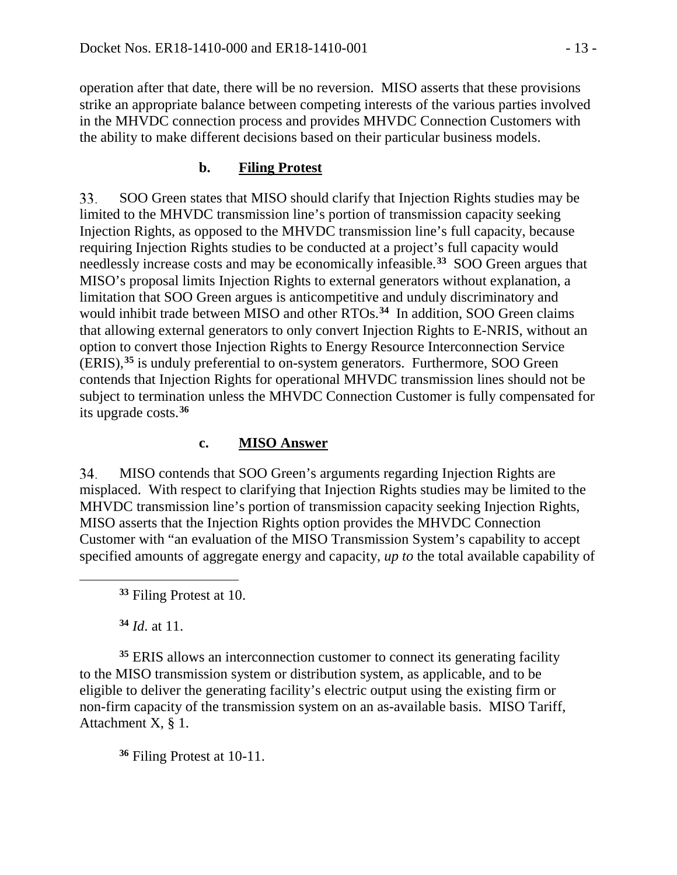operation after that date, there will be no reversion. MISO asserts that these provisions strike an appropriate balance between competing interests of the various parties involved in the MHVDC connection process and provides MHVDC Connection Customers with the ability to make different decisions based on their particular business models.

### **b. Filing Protest**

33. SOO Green states that MISO should clarify that Injection Rights studies may be limited to the MHVDC transmission line's portion of transmission capacity seeking Injection Rights, as opposed to the MHVDC transmission line's full capacity, because requiring Injection Rights studies to be conducted at a project's full capacity would needlessly increase costs and may be economically infeasible.**[33](#page-12-0)** SOO Green argues that MISO's proposal limits Injection Rights to external generators without explanation, a limitation that SOO Green argues is anticompetitive and unduly discriminatory and would inhibit trade between MISO and other RTOs.**[34](#page-12-1)** In addition, SOO Green claims that allowing external generators to only convert Injection Rights to E-NRIS, without an option to convert those Injection Rights to Energy Resource Interconnection Service (ERIS), **[35](#page-12-2)** is unduly preferential to on-system generators. Furthermore, SOO Green contends that Injection Rights for operational MHVDC transmission lines should not be subject to termination unless the MHVDC Connection Customer is fully compensated for its upgrade costs.**[36](#page-12-3)**

## **c. MISO Answer**

34. MISO contends that SOO Green's arguments regarding Injection Rights are misplaced. With respect to clarifying that Injection Rights studies may be limited to the MHVDC transmission line's portion of transmission capacity seeking Injection Rights, MISO asserts that the Injection Rights option provides the MHVDC Connection Customer with "an evaluation of the MISO Transmission System's capability to accept specified amounts of aggregate energy and capacity, *up to* the total available capability of

**<sup>34</sup>** *Id*. at 11.

<span id="page-12-0"></span> $\overline{a}$ 

<span id="page-12-2"></span><span id="page-12-1"></span>**<sup>35</sup>** ERIS allows an interconnection customer to connect its generating facility to the MISO transmission system or distribution system, as applicable, and to be eligible to deliver the generating facility's electric output using the existing firm or non-firm capacity of the transmission system on an as-available basis. MISO Tariff, Attachment X, § 1.

<span id="page-12-3"></span>**<sup>36</sup>** Filing Protest at 10-11.

**<sup>33</sup>** Filing Protest at 10.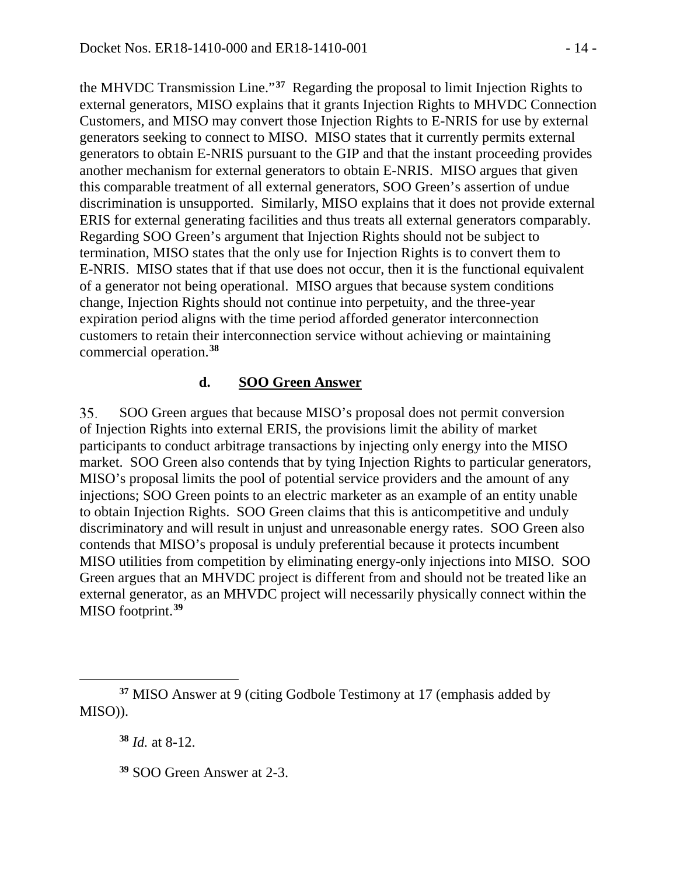the MHVDC Transmission Line."**[37](#page-13-0)** Regarding the proposal to limit Injection Rights to external generators, MISO explains that it grants Injection Rights to MHVDC Connection Customers, and MISO may convert those Injection Rights to E-NRIS for use by external generators seeking to connect to MISO. MISO states that it currently permits external generators to obtain E-NRIS pursuant to the GIP and that the instant proceeding provides another mechanism for external generators to obtain E-NRIS. MISO argues that given this comparable treatment of all external generators, SOO Green's assertion of undue discrimination is unsupported. Similarly, MISO explains that it does not provide external ERIS for external generating facilities and thus treats all external generators comparably. Regarding SOO Green's argument that Injection Rights should not be subject to termination, MISO states that the only use for Injection Rights is to convert them to E-NRIS. MISO states that if that use does not occur, then it is the functional equivalent of a generator not being operational. MISO argues that because system conditions change, Injection Rights should not continue into perpetuity, and the three-year expiration period aligns with the time period afforded generator interconnection customers to retain their interconnection service without achieving or maintaining commercial operation.**[38](#page-13-1)**

#### **d. SOO Green Answer**

35. SOO Green argues that because MISO's proposal does not permit conversion of Injection Rights into external ERIS, the provisions limit the ability of market participants to conduct arbitrage transactions by injecting only energy into the MISO market. SOO Green also contends that by tying Injection Rights to particular generators, MISO's proposal limits the pool of potential service providers and the amount of any injections; SOO Green points to an electric marketer as an example of an entity unable to obtain Injection Rights. SOO Green claims that this is anticompetitive and unduly discriminatory and will result in unjust and unreasonable energy rates. SOO Green also contends that MISO's proposal is unduly preferential because it protects incumbent MISO utilities from competition by eliminating energy-only injections into MISO. SOO Green argues that an MHVDC project is different from and should not be treated like an external generator, as an MHVDC project will necessarily physically connect within the MISO footprint. **[39](#page-13-2)**

<span id="page-13-2"></span><span id="page-13-1"></span><span id="page-13-0"></span>**<sup>37</sup>** MISO Answer at 9 (citing Godbole Testimony at 17 (emphasis added by MISO)).

**<sup>38</sup>** *Id.* at 8-12.

**<sup>39</sup>** SOO Green Answer at 2-3.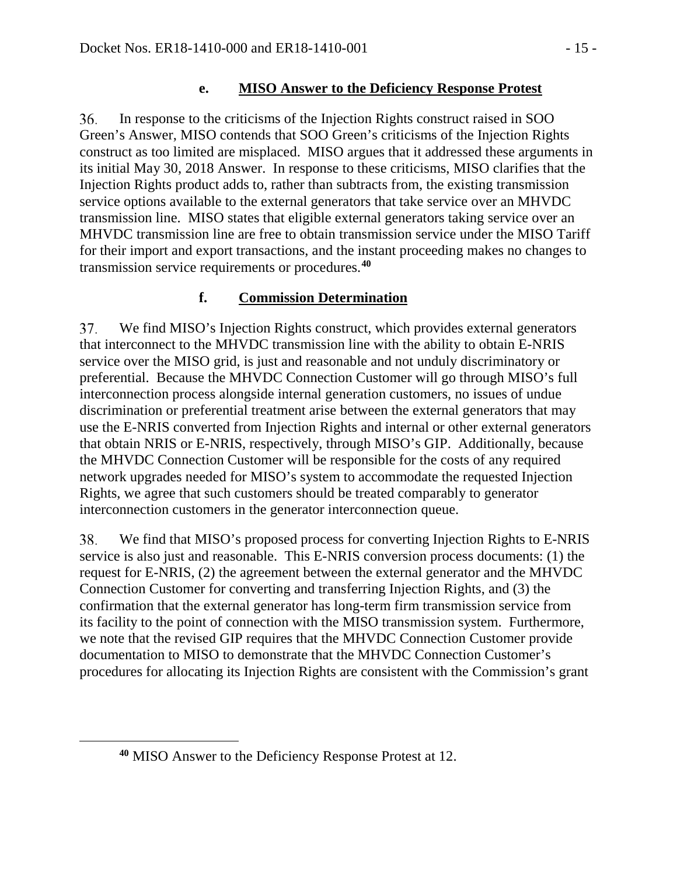#### **e. MISO Answer to the Deficiency Response Protest**

36. In response to the criticisms of the Injection Rights construct raised in SOO Green's Answer, MISO contends that SOO Green's criticisms of the Injection Rights construct as too limited are misplaced. MISO argues that it addressed these arguments in its initial May 30, 2018 Answer. In response to these criticisms, MISO clarifies that the Injection Rights product adds to, rather than subtracts from, the existing transmission service options available to the external generators that take service over an MHVDC transmission line. MISO states that eligible external generators taking service over an MHVDC transmission line are free to obtain transmission service under the MISO Tariff for their import and export transactions, and the instant proceeding makes no changes to transmission service requirements or procedures.**[40](#page-14-0)**

### **f. Commission Determination**

37. We find MISO's Injection Rights construct, which provides external generators that interconnect to the MHVDC transmission line with the ability to obtain E-NRIS service over the MISO grid, is just and reasonable and not unduly discriminatory or preferential. Because the MHVDC Connection Customer will go through MISO's full interconnection process alongside internal generation customers, no issues of undue discrimination or preferential treatment arise between the external generators that may use the E-NRIS converted from Injection Rights and internal or other external generators that obtain NRIS or E-NRIS, respectively, through MISO's GIP. Additionally, because the MHVDC Connection Customer will be responsible for the costs of any required network upgrades needed for MISO's system to accommodate the requested Injection Rights, we agree that such customers should be treated comparably to generator interconnection customers in the generator interconnection queue.

38. We find that MISO's proposed process for converting Injection Rights to E-NRIS service is also just and reasonable. This E-NRIS conversion process documents: (1) the request for E-NRIS, (2) the agreement between the external generator and the MHVDC Connection Customer for converting and transferring Injection Rights, and (3) the confirmation that the external generator has long-term firm transmission service from its facility to the point of connection with the MISO transmission system. Furthermore, we note that the revised GIP requires that the MHVDC Connection Customer provide documentation to MISO to demonstrate that the MHVDC Connection Customer's procedures for allocating its Injection Rights are consistent with the Commission's grant

<span id="page-14-0"></span>**<sup>40</sup>** MISO Answer to the Deficiency Response Protest at 12.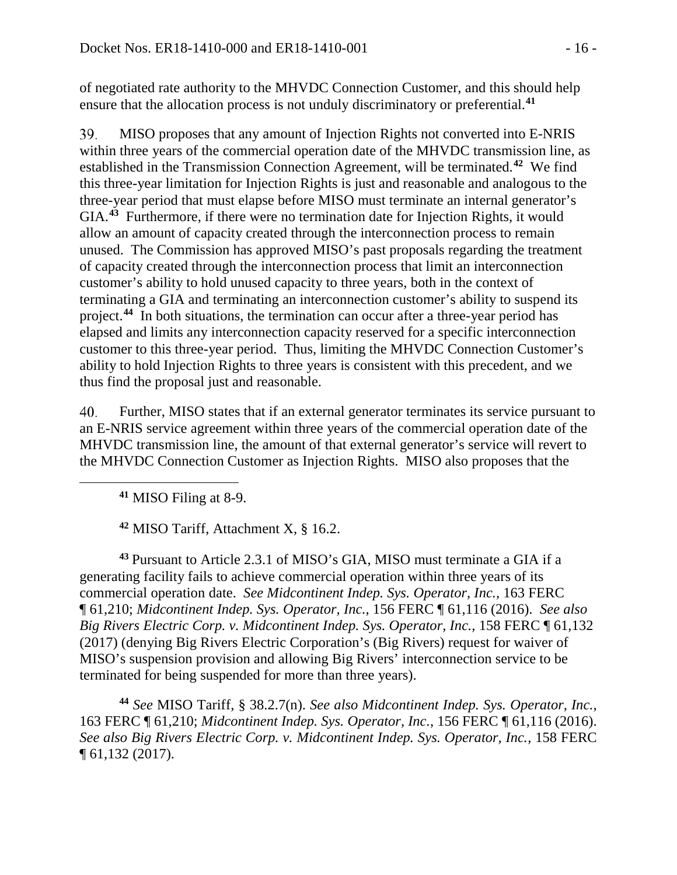of negotiated rate authority to the MHVDC Connection Customer, and this should help ensure that the allocation process is not unduly discriminatory or preferential.**[41](#page-15-0)**

39. MISO proposes that any amount of Injection Rights not converted into E-NRIS within three years of the commercial operation date of the MHVDC transmission line, as established in the Transmission Connection Agreement, will be terminated.**[42](#page-15-1)** We find this three-year limitation for Injection Rights is just and reasonable and analogous to the three-year period that must elapse before MISO must terminate an internal generator's GIA.**[43](#page-15-2)** Furthermore, if there were no termination date for Injection Rights, it would allow an amount of capacity created through the interconnection process to remain unused. The Commission has approved MISO's past proposals regarding the treatment of capacity created through the interconnection process that limit an interconnection customer's ability to hold unused capacity to three years, both in the context of terminating a GIA and terminating an interconnection customer's ability to suspend its project.**[44](#page-15-3)** In both situations, the termination can occur after a three-year period has elapsed and limits any interconnection capacity reserved for a specific interconnection customer to this three-year period. Thus, limiting the MHVDC Connection Customer's ability to hold Injection Rights to three years is consistent with this precedent, and we thus find the proposal just and reasonable.

40. Further, MISO states that if an external generator terminates its service pursuant to an E-NRIS service agreement within three years of the commercial operation date of the MHVDC transmission line, the amount of that external generator's service will revert to the MHVDC Connection Customer as Injection Rights. MISO also proposes that the

**<sup>41</sup>** MISO Filing at 8-9.

<span id="page-15-0"></span> $\overline{a}$ 

**<sup>42</sup>** MISO Tariff, Attachment X, § 16.2.

<span id="page-15-2"></span><span id="page-15-1"></span>**<sup>43</sup>** Pursuant to Article 2.3.1 of MISO's GIA, MISO must terminate a GIA if a generating facility fails to achieve commercial operation within three years of its commercial operation date. *See Midcontinent Indep. Sys. Operator, Inc.,* 163 FERC ¶ 61,210; *Midcontinent Indep. Sys. Operator, Inc.*, 156 FERC ¶ 61,116 (2016). *See also Big Rivers Electric Corp. v. Midcontinent Indep. Sys. Operator, Inc.,* 158 FERC ¶ 61,132 (2017) (denying Big Rivers Electric Corporation's (Big Rivers) request for waiver of MISO's suspension provision and allowing Big Rivers' interconnection service to be terminated for being suspended for more than three years).

<span id="page-15-3"></span>**<sup>44</sup>** *See* MISO Tariff, § 38.2.7(n). *See also Midcontinent Indep. Sys. Operator, Inc.,* 163 FERC ¶ 61,210; *Midcontinent Indep. Sys. Operator, Inc.*, 156 FERC ¶ 61,116 (2016). *See also Big Rivers Electric Corp. v. Midcontinent Indep. Sys. Operator, Inc.,* 158 FERC ¶ 61,132 (2017).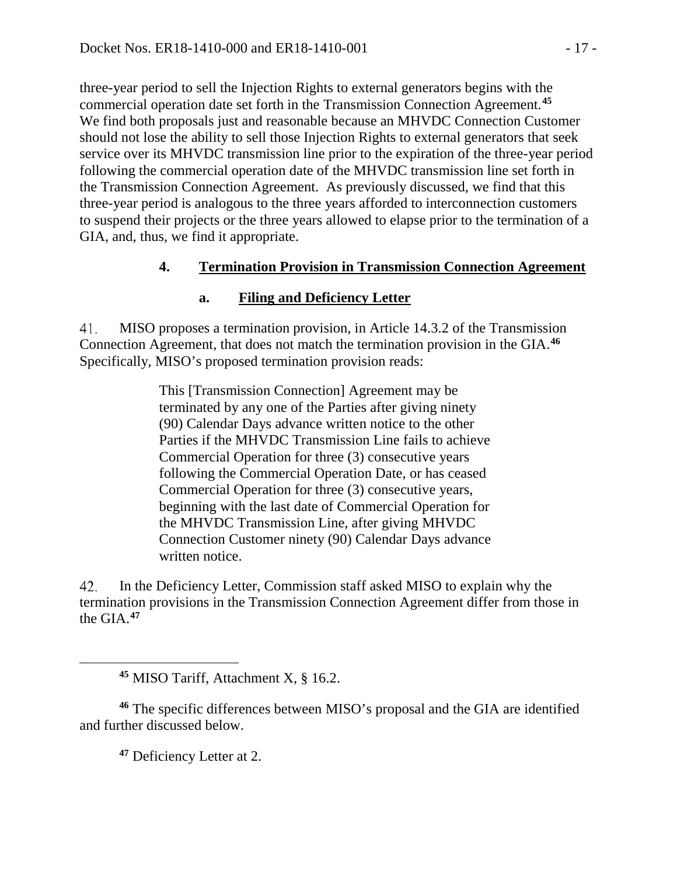three-year period to sell the Injection Rights to external generators begins with the commercial operation date set forth in the Transmission Connection Agreement. **[45](#page-16-0)** We find both proposals just and reasonable because an MHVDC Connection Customer should not lose the ability to sell those Injection Rights to external generators that seek service over its MHVDC transmission line prior to the expiration of the three-year period following the commercial operation date of the MHVDC transmission line set forth in the Transmission Connection Agreement. As previously discussed, we find that this three-year period is analogous to the three years afforded to interconnection customers to suspend their projects or the three years allowed to elapse prior to the termination of a GIA, and, thus, we find it appropriate.

## **4. Termination Provision in Transmission Connection Agreement**

## **a. Filing and Deficiency Letter**

MISO proposes a termination provision, in Article 14.3.2 of the Transmission 41. Connection Agreement, that does not match the termination provision in the GIA.**[46](#page-16-1)** Specifically, MISO's proposed termination provision reads:

> This [Transmission Connection] Agreement may be terminated by any one of the Parties after giving ninety (90) Calendar Days advance written notice to the other Parties if the MHVDC Transmission Line fails to achieve Commercial Operation for three (3) consecutive years following the Commercial Operation Date, or has ceased Commercial Operation for three (3) consecutive years, beginning with the last date of Commercial Operation for the MHVDC Transmission Line, after giving MHVDC Connection Customer ninety (90) Calendar Days advance written notice.

In the Deficiency Letter, Commission staff asked MISO to explain why the 42. termination provisions in the Transmission Connection Agreement differ from those in the GIA. **[47](#page-16-2)**

**<sup>45</sup>** MISO Tariff, Attachment X, § 16.2.

<span id="page-16-2"></span><span id="page-16-1"></span><span id="page-16-0"></span>**<sup>46</sup>** The specific differences between MISO's proposal and the GIA are identified and further discussed below.

**<sup>47</sup>** Deficiency Letter at 2.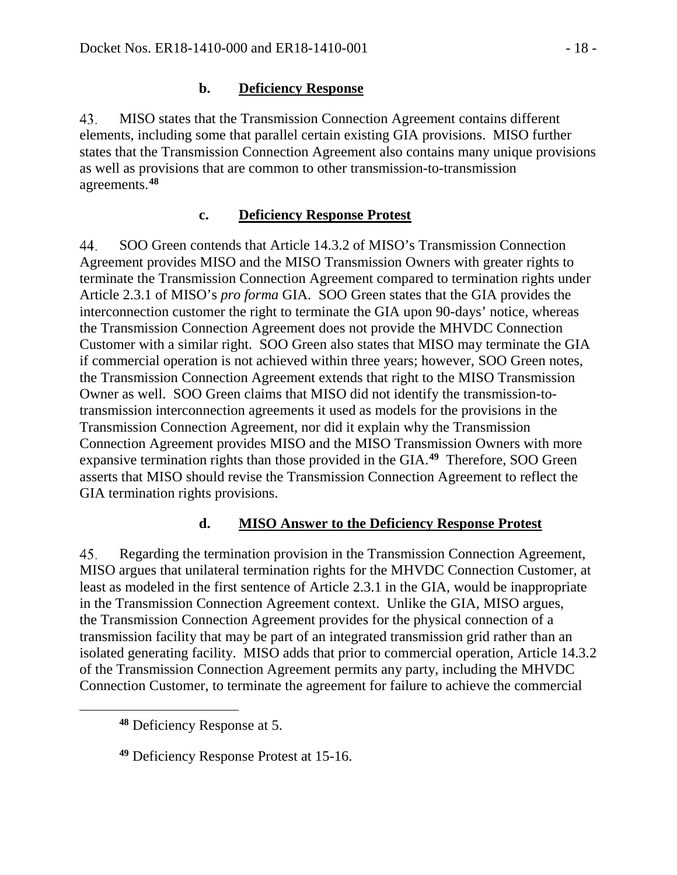#### **b. Deficiency Response**

43. MISO states that the Transmission Connection Agreement contains different elements, including some that parallel certain existing GIA provisions. MISO further states that the Transmission Connection Agreement also contains many unique provisions as well as provisions that are common to other transmission-to-transmission agreements.**[48](#page-17-0)**

### **c. Deficiency Response Protest**

44. SOO Green contends that Article 14.3.2 of MISO's Transmission Connection Agreement provides MISO and the MISO Transmission Owners with greater rights to terminate the Transmission Connection Agreement compared to termination rights under Article 2.3.1 of MISO's *pro forma* GIA. SOO Green states that the GIA provides the interconnection customer the right to terminate the GIA upon 90-days' notice, whereas the Transmission Connection Agreement does not provide the MHVDC Connection Customer with a similar right. SOO Green also states that MISO may terminate the GIA if commercial operation is not achieved within three years; however, SOO Green notes, the Transmission Connection Agreement extends that right to the MISO Transmission Owner as well. SOO Green claims that MISO did not identify the transmission-totransmission interconnection agreements it used as models for the provisions in the Transmission Connection Agreement, nor did it explain why the Transmission Connection Agreement provides MISO and the MISO Transmission Owners with more expansive termination rights than those provided in the GIA.**[49](#page-17-1)** Therefore, SOO Green asserts that MISO should revise the Transmission Connection Agreement to reflect the GIA termination rights provisions.

#### **d. MISO Answer to the Deficiency Response Protest**

45. Regarding the termination provision in the Transmission Connection Agreement, MISO argues that unilateral termination rights for the MHVDC Connection Customer, at least as modeled in the first sentence of Article 2.3.1 in the GIA, would be inappropriate in the Transmission Connection Agreement context. Unlike the GIA, MISO argues, the Transmission Connection Agreement provides for the physical connection of a transmission facility that may be part of an integrated transmission grid rather than an isolated generating facility. MISO adds that prior to commercial operation, Article 14.3.2 of the Transmission Connection Agreement permits any party, including the MHVDC Connection Customer, to terminate the agreement for failure to achieve the commercial

<span id="page-17-0"></span>**<sup>48</sup>** Deficiency Response at 5.

<span id="page-17-1"></span>**<sup>49</sup>** Deficiency Response Protest at 15-16.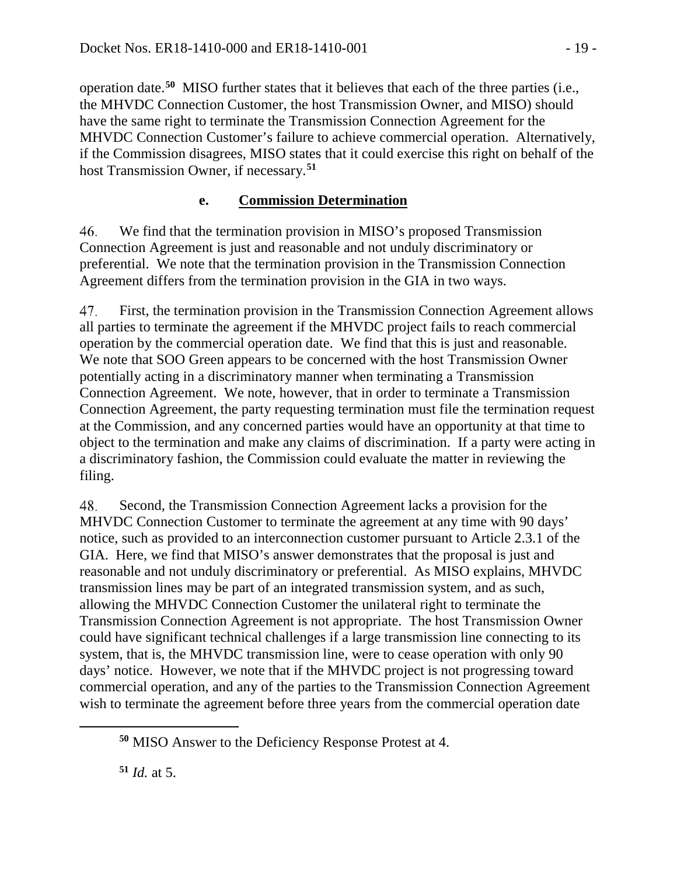operation date.**[50](#page-18-0)** MISO further states that it believes that each of the three parties (i.e., the MHVDC Connection Customer, the host Transmission Owner, and MISO) should have the same right to terminate the Transmission Connection Agreement for the MHVDC Connection Customer's failure to achieve commercial operation. Alternatively, if the Commission disagrees, MISO states that it could exercise this right on behalf of the host Transmission Owner, if necessary.**[51](#page-18-1)**

### **e. Commission Determination**

We find that the termination provision in MISO's proposed Transmission 46. Connection Agreement is just and reasonable and not unduly discriminatory or preferential. We note that the termination provision in the Transmission Connection Agreement differs from the termination provision in the GIA in two ways.

47. First, the termination provision in the Transmission Connection Agreement allows all parties to terminate the agreement if the MHVDC project fails to reach commercial operation by the commercial operation date. We find that this is just and reasonable. We note that SOO Green appears to be concerned with the host Transmission Owner potentially acting in a discriminatory manner when terminating a Transmission Connection Agreement. We note, however, that in order to terminate a Transmission Connection Agreement, the party requesting termination must file the termination request at the Commission, and any concerned parties would have an opportunity at that time to object to the termination and make any claims of discrimination. If a party were acting in a discriminatory fashion, the Commission could evaluate the matter in reviewing the filing.

48. Second, the Transmission Connection Agreement lacks a provision for the MHVDC Connection Customer to terminate the agreement at any time with 90 days' notice, such as provided to an interconnection customer pursuant to Article 2.3.1 of the GIA. Here, we find that MISO's answer demonstrates that the proposal is just and reasonable and not unduly discriminatory or preferential. As MISO explains, MHVDC transmission lines may be part of an integrated transmission system, and as such, allowing the MHVDC Connection Customer the unilateral right to terminate the Transmission Connection Agreement is not appropriate. The host Transmission Owner could have significant technical challenges if a large transmission line connecting to its system, that is, the MHVDC transmission line, were to cease operation with only 90 days' notice. However, we note that if the MHVDC project is not progressing toward commercial operation, and any of the parties to the Transmission Connection Agreement wish to terminate the agreement before three years from the commercial operation date

<span id="page-18-1"></span>**<sup>51</sup>** *Id.* at 5.

<span id="page-18-0"></span>**<sup>50</sup>** MISO Answer to the Deficiency Response Protest at 4.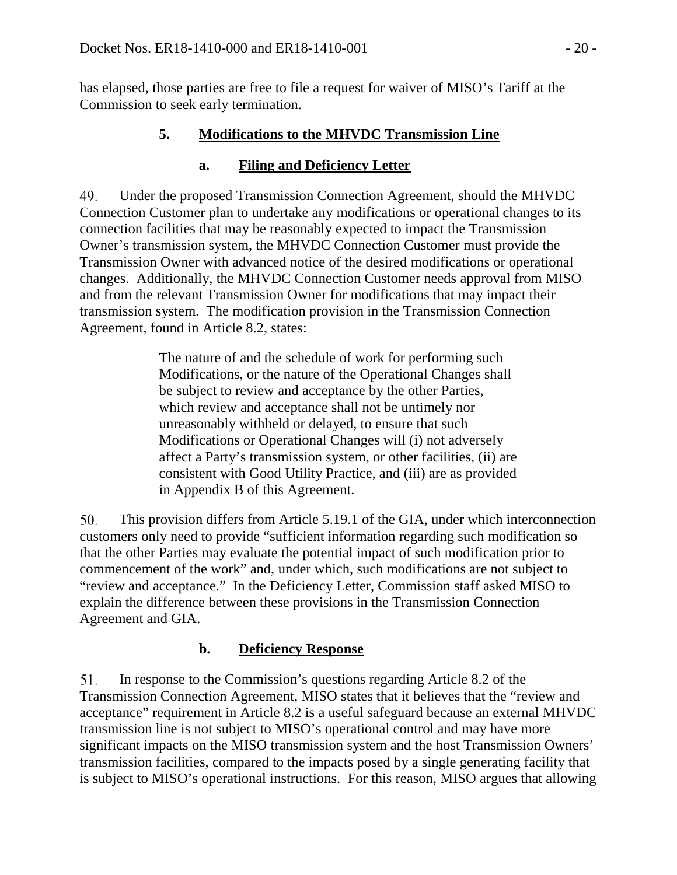has elapsed, those parties are free to file a request for waiver of MISO's Tariff at the Commission to seek early termination.

## **5. Modifications to the MHVDC Transmission Line**

## **a. Filing and Deficiency Letter**

49. Under the proposed Transmission Connection Agreement, should the MHVDC Connection Customer plan to undertake any modifications or operational changes to its connection facilities that may be reasonably expected to impact the Transmission Owner's transmission system, the MHVDC Connection Customer must provide the Transmission Owner with advanced notice of the desired modifications or operational changes. Additionally, the MHVDC Connection Customer needs approval from MISO and from the relevant Transmission Owner for modifications that may impact their transmission system. The modification provision in the Transmission Connection Agreement, found in Article 8.2, states:

> The nature of and the schedule of work for performing such Modifications, or the nature of the Operational Changes shall be subject to review and acceptance by the other Parties, which review and acceptance shall not be untimely nor unreasonably withheld or delayed, to ensure that such Modifications or Operational Changes will (i) not adversely affect a Party's transmission system, or other facilities, (ii) are consistent with Good Utility Practice, and (iii) are as provided in Appendix B of this Agreement.

50. This provision differs from Article 5.19.1 of the GIA, under which interconnection customers only need to provide "sufficient information regarding such modification so that the other Parties may evaluate the potential impact of such modification prior to commencement of the work" and, under which, such modifications are not subject to "review and acceptance." In the Deficiency Letter, Commission staff asked MISO to explain the difference between these provisions in the Transmission Connection Agreement and GIA.

# **b. Deficiency Response**

51. In response to the Commission's questions regarding Article 8.2 of the Transmission Connection Agreement, MISO states that it believes that the "review and acceptance" requirement in Article 8.2 is a useful safeguard because an external MHVDC transmission line is not subject to MISO's operational control and may have more significant impacts on the MISO transmission system and the host Transmission Owners' transmission facilities, compared to the impacts posed by a single generating facility that is subject to MISO's operational instructions. For this reason, MISO argues that allowing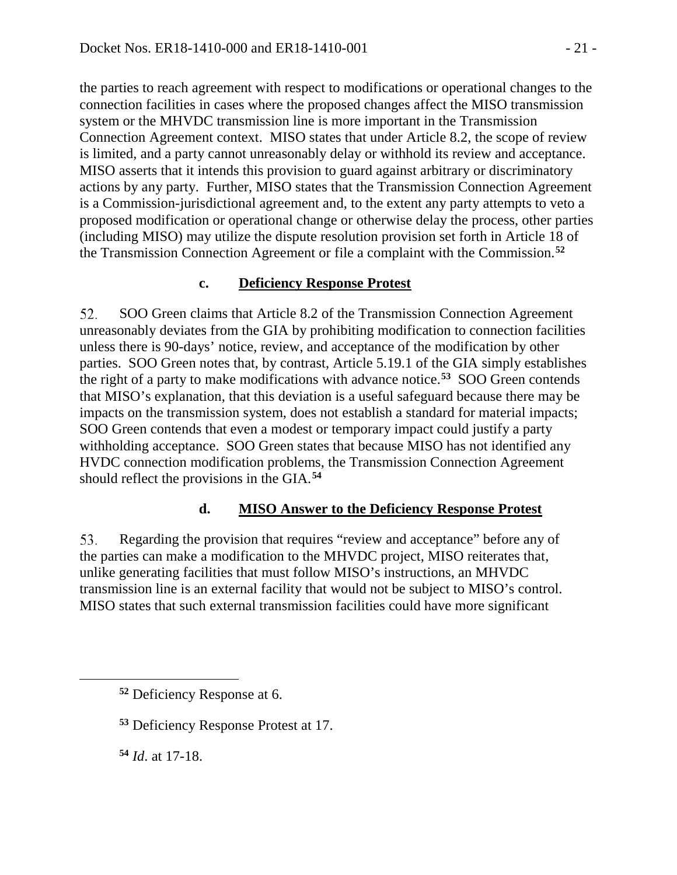the parties to reach agreement with respect to modifications or operational changes to the connection facilities in cases where the proposed changes affect the MISO transmission system or the MHVDC transmission line is more important in the Transmission Connection Agreement context. MISO states that under Article 8.2, the scope of review is limited, and a party cannot unreasonably delay or withhold its review and acceptance. MISO asserts that it intends this provision to guard against arbitrary or discriminatory actions by any party. Further, MISO states that the Transmission Connection Agreement is a Commission-jurisdictional agreement and, to the extent any party attempts to veto a proposed modification or operational change or otherwise delay the process, other parties (including MISO) may utilize the dispute resolution provision set forth in Article 18 of the Transmission Connection Agreement or file a complaint with the Commission.**[52](#page-20-0)**

### **c. Deficiency Response Protest**

52. SOO Green claims that Article 8.2 of the Transmission Connection Agreement unreasonably deviates from the GIA by prohibiting modification to connection facilities unless there is 90-days' notice, review, and acceptance of the modification by other parties. SOO Green notes that, by contrast, Article 5.19.1 of the GIA simply establishes the right of a party to make modifications with advance notice.**[53](#page-20-1)** SOO Green contends that MISO's explanation, that this deviation is a useful safeguard because there may be impacts on the transmission system, does not establish a standard for material impacts; SOO Green contends that even a modest or temporary impact could justify a party withholding acceptance. SOO Green states that because MISO has not identified any HVDC connection modification problems, the Transmission Connection Agreement should reflect the provisions in the GIA.**[54](#page-20-2)**

## **d. MISO Answer to the Deficiency Response Protest**

Regarding the provision that requires "review and acceptance" before any of 53. the parties can make a modification to the MHVDC project, MISO reiterates that, unlike generating facilities that must follow MISO's instructions, an MHVDC transmission line is an external facility that would not be subject to MISO's control. MISO states that such external transmission facilities could have more significant

<span id="page-20-2"></span>**<sup>54</sup>** *Id*. at 17-18.

<span id="page-20-0"></span>**<sup>52</sup>** Deficiency Response at 6.

<span id="page-20-1"></span>**<sup>53</sup>** Deficiency Response Protest at 17.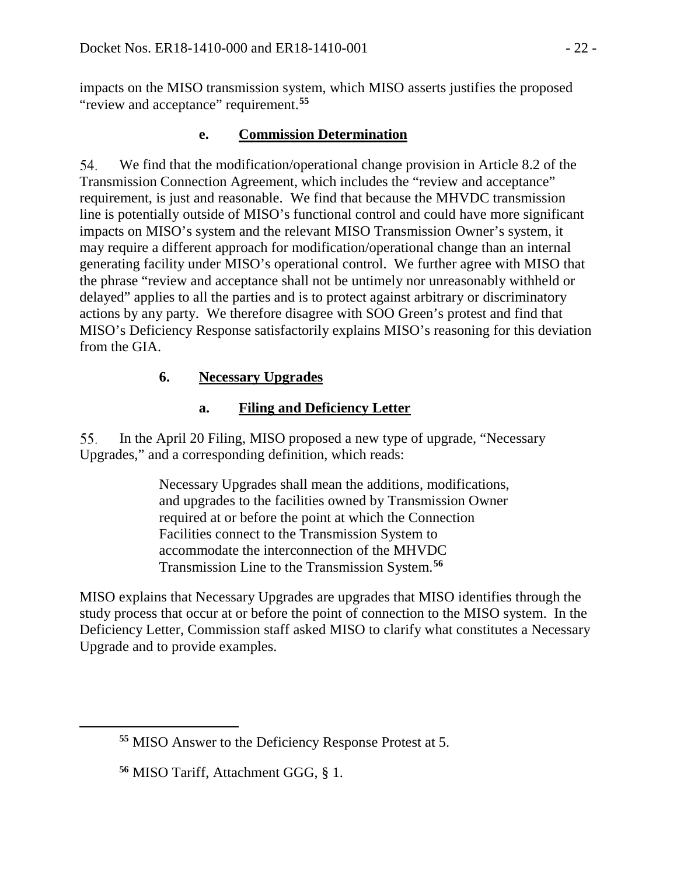impacts on the MISO transmission system, which MISO asserts justifies the proposed "review and acceptance" requirement.**[55](#page-21-0)**

## **e. Commission Determination**

54. We find that the modification/operational change provision in Article 8.2 of the Transmission Connection Agreement, which includes the "review and acceptance" requirement, is just and reasonable. We find that because the MHVDC transmission line is potentially outside of MISO's functional control and could have more significant impacts on MISO's system and the relevant MISO Transmission Owner's system, it may require a different approach for modification/operational change than an internal generating facility under MISO's operational control. We further agree with MISO that the phrase "review and acceptance shall not be untimely nor unreasonably withheld or delayed" applies to all the parties and is to protect against arbitrary or discriminatory actions by any party. We therefore disagree with SOO Green's protest and find that MISO's Deficiency Response satisfactorily explains MISO's reasoning for this deviation from the GIA.

## **6. Necessary Upgrades**

# **a. Filing and Deficiency Letter**

55. In the April 20 Filing, MISO proposed a new type of upgrade, "Necessary Upgrades," and a corresponding definition, which reads:

> Necessary Upgrades shall mean the additions, modifications, and upgrades to the facilities owned by Transmission Owner required at or before the point at which the Connection Facilities connect to the Transmission System to accommodate the interconnection of the MHVDC Transmission Line to the Transmission System.**[56](#page-21-1)**

MISO explains that Necessary Upgrades are upgrades that MISO identifies through the study process that occur at or before the point of connection to the MISO system. In the Deficiency Letter, Commission staff asked MISO to clarify what constitutes a Necessary Upgrade and to provide examples.

<span id="page-21-0"></span>**<sup>55</sup>** MISO Answer to the Deficiency Response Protest at 5.

<span id="page-21-1"></span>**<sup>56</sup>** MISO Tariff, Attachment GGG, § 1.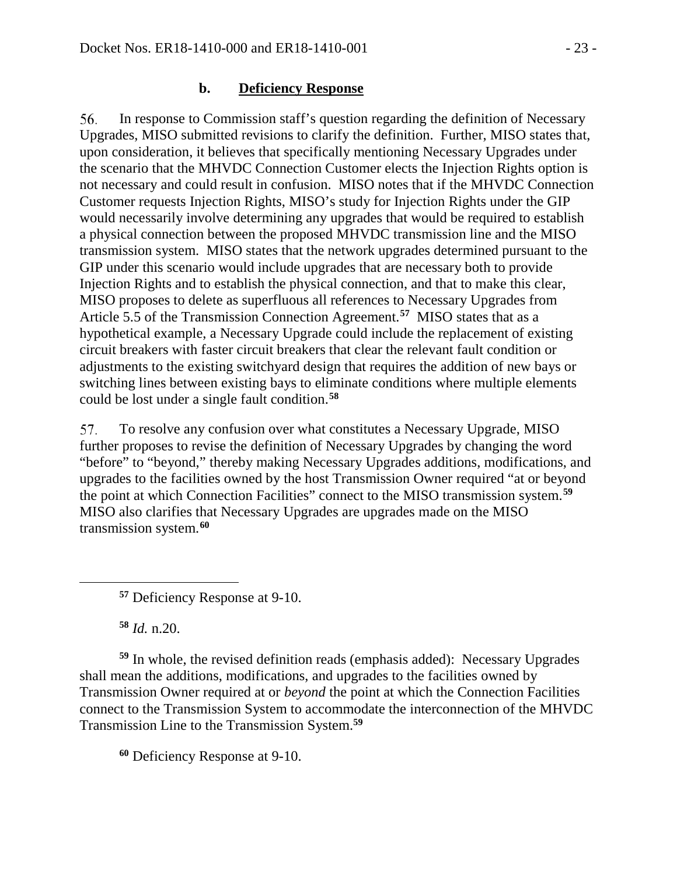#### **b. Deficiency Response**

56. In response to Commission staff's question regarding the definition of Necessary Upgrades, MISO submitted revisions to clarify the definition. Further, MISO states that, upon consideration, it believes that specifically mentioning Necessary Upgrades under the scenario that the MHVDC Connection Customer elects the Injection Rights option is not necessary and could result in confusion. MISO notes that if the MHVDC Connection Customer requests Injection Rights, MISO's study for Injection Rights under the GIP would necessarily involve determining any upgrades that would be required to establish a physical connection between the proposed MHVDC transmission line and the MISO transmission system. MISO states that the network upgrades determined pursuant to the GIP under this scenario would include upgrades that are necessary both to provide Injection Rights and to establish the physical connection, and that to make this clear, MISO proposes to delete as superfluous all references to Necessary Upgrades from Article 5.5 of the Transmission Connection Agreement. **[57](#page-22-0)** MISO states that as a hypothetical example, a Necessary Upgrade could include the replacement of existing circuit breakers with faster circuit breakers that clear the relevant fault condition or adjustments to the existing switchyard design that requires the addition of new bays or switching lines between existing bays to eliminate conditions where multiple elements could be lost under a single fault condition.**[58](#page-22-1)**

57. To resolve any confusion over what constitutes a Necessary Upgrade, MISO further proposes to revise the definition of Necessary Upgrades by changing the word "before" to "beyond," thereby making Necessary Upgrades additions, modifications, and upgrades to the facilities owned by the host Transmission Owner required "at or beyond the point at which Connection Facilities" connect to the MISO transmission system.**[59](#page-22-2)** MISO also clarifies that Necessary Upgrades are upgrades made on the MISO transmission system.**[60](#page-22-3)**

**<sup>57</sup>** Deficiency Response at 9-10.

**<sup>58</sup>** *Id.* n.20.

<span id="page-22-0"></span> $\overline{a}$ 

<span id="page-22-2"></span><span id="page-22-1"></span>**<sup>59</sup>** In whole, the revised definition reads (emphasis added): Necessary Upgrades shall mean the additions, modifications, and upgrades to the facilities owned by Transmission Owner required at or *beyond* the point at which the Connection Facilities connect to the Transmission System to accommodate the interconnection of the MHVDC Transmission Line to the Transmission System.**<sup>59</sup>**

<span id="page-22-3"></span>**<sup>60</sup>** Deficiency Response at 9-10.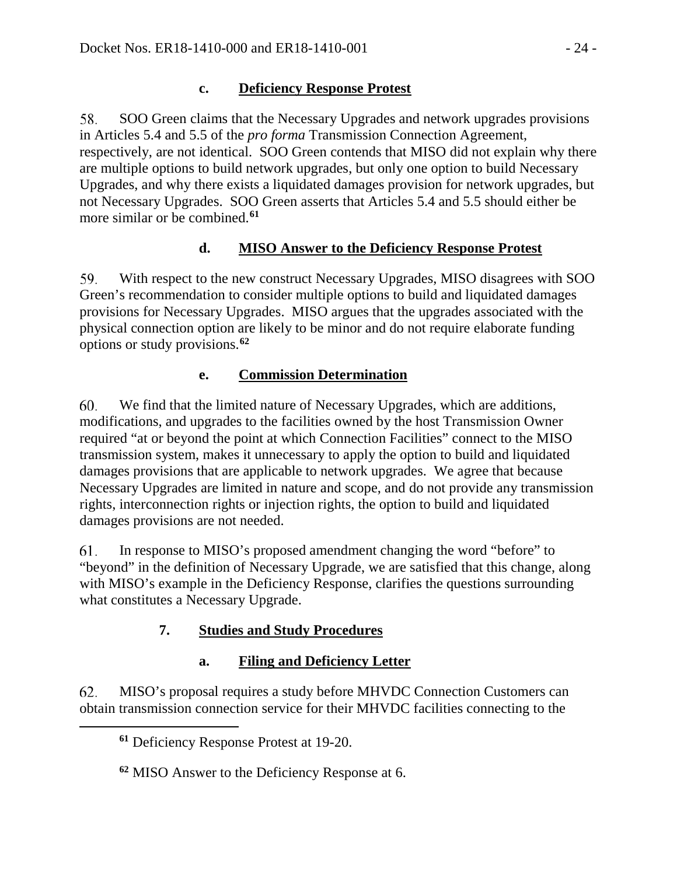## **c. Deficiency Response Protest**

58. SOO Green claims that the Necessary Upgrades and network upgrades provisions in Articles 5.4 and 5.5 of the *pro forma* Transmission Connection Agreement, respectively, are not identical. SOO Green contends that MISO did not explain why there are multiple options to build network upgrades, but only one option to build Necessary Upgrades, and why there exists a liquidated damages provision for network upgrades, but not Necessary Upgrades. SOO Green asserts that Articles 5.4 and 5.5 should either be more similar or be combined.**[61](#page-23-0)**

# **d. MISO Answer to the Deficiency Response Protest**

59. With respect to the new construct Necessary Upgrades, MISO disagrees with SOO Green's recommendation to consider multiple options to build and liquidated damages provisions for Necessary Upgrades. MISO argues that the upgrades associated with the physical connection option are likely to be minor and do not require elaborate funding options or study provisions.**[62](#page-23-1)**

## **e. Commission Determination**

60. We find that the limited nature of Necessary Upgrades, which are additions, modifications, and upgrades to the facilities owned by the host Transmission Owner required "at or beyond the point at which Connection Facilities" connect to the MISO transmission system, makes it unnecessary to apply the option to build and liquidated damages provisions that are applicable to network upgrades. We agree that because Necessary Upgrades are limited in nature and scope, and do not provide any transmission rights, interconnection rights or injection rights, the option to build and liquidated damages provisions are not needed.

61. In response to MISO's proposed amendment changing the word "before" to "beyond" in the definition of Necessary Upgrade, we are satisfied that this change, along with MISO's example in the Deficiency Response, clarifies the questions surrounding what constitutes a Necessary Upgrade.

# **7. Studies and Study Procedures**

# **a. Filing and Deficiency Letter**

<span id="page-23-1"></span><span id="page-23-0"></span>62. MISO's proposal requires a study before MHVDC Connection Customers can obtain transmission connection service for their MHVDC facilities connecting to the

**<sup>61</sup>** Deficiency Response Protest at 19-20.

**<sup>62</sup>** MISO Answer to the Deficiency Response at 6.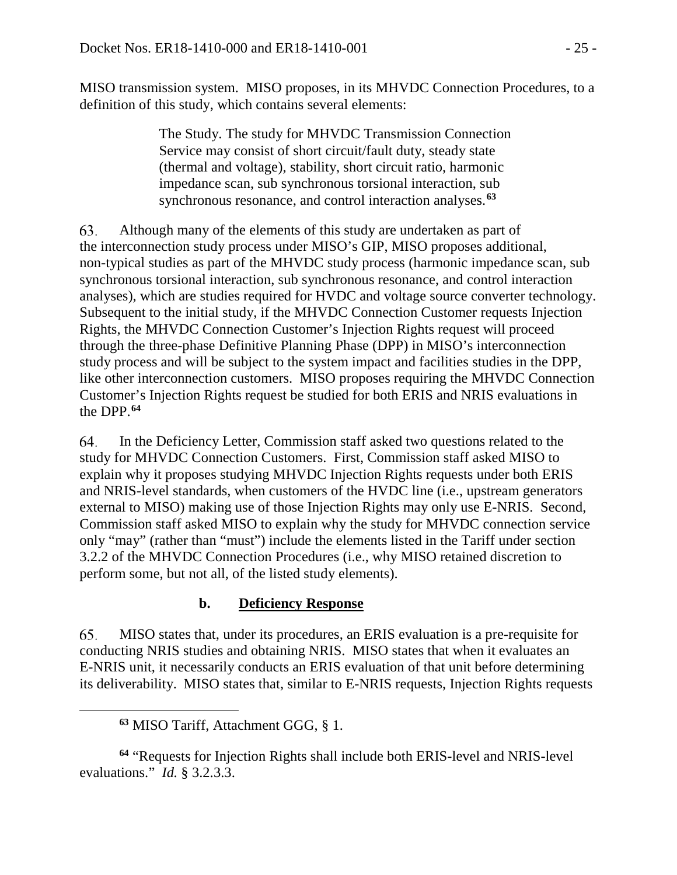MISO transmission system. MISO proposes, in its MHVDC Connection Procedures, to a definition of this study, which contains several elements:

> The Study. The study for MHVDC Transmission Connection Service may consist of short circuit/fault duty, steady state (thermal and voltage), stability, short circuit ratio, harmonic impedance scan, sub synchronous torsional interaction, sub synchronous resonance, and control interaction analyses.**[63](#page-24-0)**

Although many of the elements of this study are undertaken as part of 63. the interconnection study process under MISO's GIP, MISO proposes additional, non-typical studies as part of the MHVDC study process (harmonic impedance scan, sub synchronous torsional interaction, sub synchronous resonance, and control interaction analyses), which are studies required for HVDC and voltage source converter technology. Subsequent to the initial study, if the MHVDC Connection Customer requests Injection Rights, the MHVDC Connection Customer's Injection Rights request will proceed through the three-phase Definitive Planning Phase (DPP) in MISO's interconnection study process and will be subject to the system impact and facilities studies in the DPP, like other interconnection customers. MISO proposes requiring the MHVDC Connection Customer's Injection Rights request be studied for both ERIS and NRIS evaluations in the DPP. **[64](#page-24-1)**

In the Deficiency Letter, Commission staff asked two questions related to the 64. study for MHVDC Connection Customers. First, Commission staff asked MISO to explain why it proposes studying MHVDC Injection Rights requests under both ERIS and NRIS-level standards, when customers of the HVDC line (i.e., upstream generators external to MISO) making use of those Injection Rights may only use E-NRIS. Second, Commission staff asked MISO to explain why the study for MHVDC connection service only "may" (rather than "must") include the elements listed in the Tariff under section 3.2.2 of the MHVDC Connection Procedures (i.e., why MISO retained discretion to perform some, but not all, of the listed study elements).

#### **b. Deficiency Response**

MISO states that, under its procedures, an ERIS evaluation is a pre-requisite for 65. conducting NRIS studies and obtaining NRIS. MISO states that when it evaluates an E-NRIS unit, it necessarily conducts an ERIS evaluation of that unit before determining its deliverability. MISO states that, similar to E-NRIS requests, Injection Rights requests

<span id="page-24-0"></span> $\overline{a}$ 

<span id="page-24-1"></span>**<sup>64</sup>** "Requests for Injection Rights shall include both ERIS-level and NRIS-level evaluations." *Id.* § 3.2.3.3.

**<sup>63</sup>** MISO Tariff, Attachment GGG, § 1.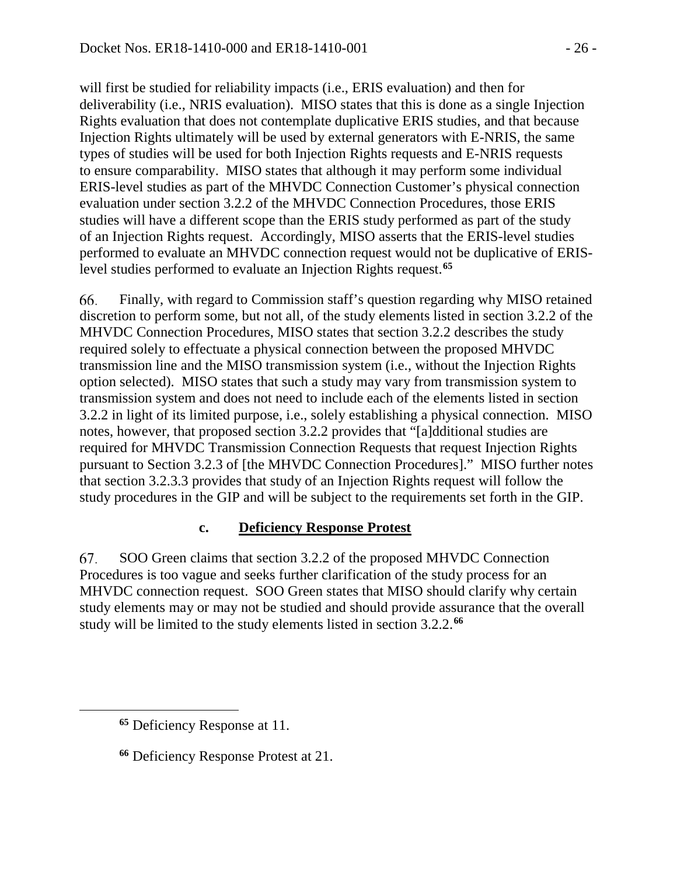will first be studied for reliability impacts (i.e., ERIS evaluation) and then for deliverability (i.e., NRIS evaluation). MISO states that this is done as a single Injection Rights evaluation that does not contemplate duplicative ERIS studies, and that because Injection Rights ultimately will be used by external generators with E-NRIS, the same types of studies will be used for both Injection Rights requests and E-NRIS requests to ensure comparability. MISO states that although it may perform some individual ERIS-level studies as part of the MHVDC Connection Customer's physical connection evaluation under section 3.2.2 of the MHVDC Connection Procedures, those ERIS studies will have a different scope than the ERIS study performed as part of the study of an Injection Rights request. Accordingly, MISO asserts that the ERIS-level studies performed to evaluate an MHVDC connection request would not be duplicative of ERISlevel studies performed to evaluate an Injection Rights request. **[65](#page-25-0)**

66. Finally, with regard to Commission staff's question regarding why MISO retained discretion to perform some, but not all, of the study elements listed in section 3.2.2 of the MHVDC Connection Procedures, MISO states that section 3.2.2 describes the study required solely to effectuate a physical connection between the proposed MHVDC transmission line and the MISO transmission system (i.e., without the Injection Rights option selected). MISO states that such a study may vary from transmission system to transmission system and does not need to include each of the elements listed in section 3.2.2 in light of its limited purpose, i.e., solely establishing a physical connection. MISO notes, however, that proposed section 3.2.2 provides that "[a]dditional studies are required for MHVDC Transmission Connection Requests that request Injection Rights pursuant to Section 3.2.3 of [the MHVDC Connection Procedures]." MISO further notes that section 3.2.3.3 provides that study of an Injection Rights request will follow the study procedures in the GIP and will be subject to the requirements set forth in the GIP.

## **c. Deficiency Response Protest**

67. SOO Green claims that section 3.2.2 of the proposed MHVDC Connection Procedures is too vague and seeks further clarification of the study process for an MHVDC connection request. SOO Green states that MISO should clarify why certain study elements may or may not be studied and should provide assurance that the overall study will be limited to the study elements listed in section 3.2.2.**[66](#page-25-1)**

<span id="page-25-0"></span>**<sup>65</sup>** Deficiency Response at 11.

<span id="page-25-1"></span>**<sup>66</sup>** Deficiency Response Protest at 21.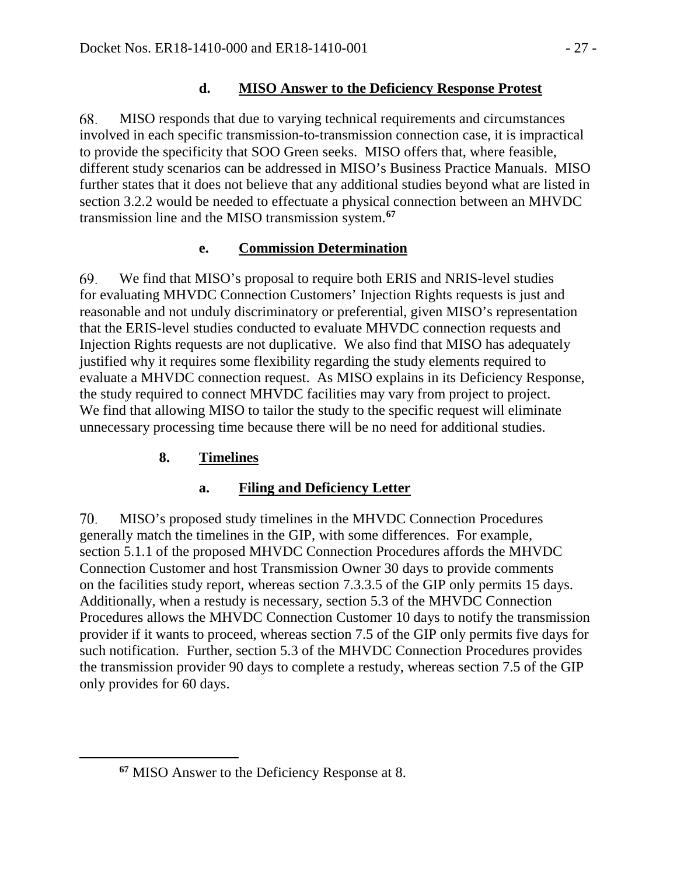# **d. MISO Answer to the Deficiency Response Protest**

68. MISO responds that due to varying technical requirements and circumstances involved in each specific transmission-to-transmission connection case, it is impractical to provide the specificity that SOO Green seeks. MISO offers that, where feasible, different study scenarios can be addressed in MISO's Business Practice Manuals. MISO further states that it does not believe that any additional studies beyond what are listed in section 3.2.2 would be needed to effectuate a physical connection between an MHVDC transmission line and the MISO transmission system.**[67](#page-26-0)**

# **e. Commission Determination**

69. We find that MISO's proposal to require both ERIS and NRIS-level studies for evaluating MHVDC Connection Customers' Injection Rights requests is just and reasonable and not unduly discriminatory or preferential, given MISO's representation that the ERIS-level studies conducted to evaluate MHVDC connection requests and Injection Rights requests are not duplicative. We also find that MISO has adequately justified why it requires some flexibility regarding the study elements required to evaluate a MHVDC connection request. As MISO explains in its Deficiency Response, the study required to connect MHVDC facilities may vary from project to project. We find that allowing MISO to tailor the study to the specific request will eliminate unnecessary processing time because there will be no need for additional studies.

# **8. Timelines**

## **a. Filing and Deficiency Letter**

70. MISO's proposed study timelines in the MHVDC Connection Procedures generally match the timelines in the GIP, with some differences. For example, section 5.1.1 of the proposed MHVDC Connection Procedures affords the MHVDC Connection Customer and host Transmission Owner 30 days to provide comments on the facilities study report, whereas section 7.3.3.5 of the GIP only permits 15 days. Additionally, when a restudy is necessary, section 5.3 of the MHVDC Connection Procedures allows the MHVDC Connection Customer 10 days to notify the transmission provider if it wants to proceed, whereas section 7.5 of the GIP only permits five days for such notification. Further, section 5.3 of the MHVDC Connection Procedures provides the transmission provider 90 days to complete a restudy, whereas section 7.5 of the GIP only provides for 60 days.

<span id="page-26-0"></span>**<sup>67</sup>** MISO Answer to the Deficiency Response at 8.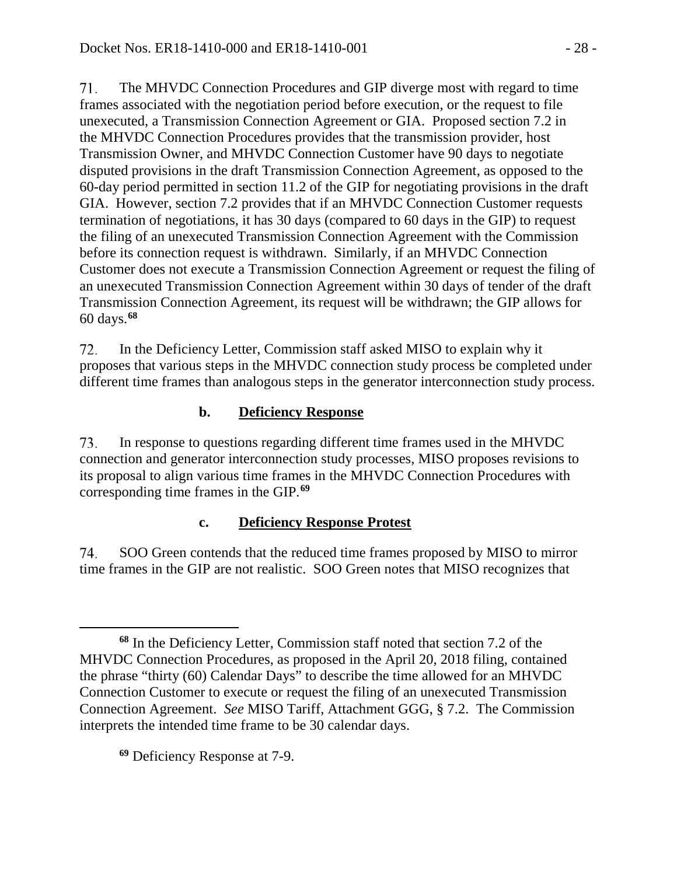71. The MHVDC Connection Procedures and GIP diverge most with regard to time frames associated with the negotiation period before execution, or the request to file unexecuted, a Transmission Connection Agreement or GIA. Proposed section 7.2 in the MHVDC Connection Procedures provides that the transmission provider, host Transmission Owner, and MHVDC Connection Customer have 90 days to negotiate disputed provisions in the draft Transmission Connection Agreement, as opposed to the 60-day period permitted in section 11.2 of the GIP for negotiating provisions in the draft GIA. However, section 7.2 provides that if an MHVDC Connection Customer requests termination of negotiations, it has 30 days (compared to 60 days in the GIP) to request the filing of an unexecuted Transmission Connection Agreement with the Commission before its connection request is withdrawn. Similarly, if an MHVDC Connection Customer does not execute a Transmission Connection Agreement or request the filing of an unexecuted Transmission Connection Agreement within 30 days of tender of the draft Transmission Connection Agreement, its request will be withdrawn; the GIP allows for 60 days.**[68](#page-27-0)**

In the Deficiency Letter, Commission staff asked MISO to explain why it 72. proposes that various steps in the MHVDC connection study process be completed under different time frames than analogous steps in the generator interconnection study process.

## **b. Deficiency Response**

In response to questions regarding different time frames used in the MHVDC 73. connection and generator interconnection study processes, MISO proposes revisions to its proposal to align various time frames in the MHVDC Connection Procedures with corresponding time frames in the GIP.**[69](#page-27-1)**

#### **c. Deficiency Response Protest**

74. SOO Green contends that the reduced time frames proposed by MISO to mirror time frames in the GIP are not realistic. SOO Green notes that MISO recognizes that

<span id="page-27-1"></span>**<sup>69</sup>** Deficiency Response at 7-9.

<span id="page-27-0"></span>**<sup>68</sup>** In the Deficiency Letter, Commission staff noted that section 7.2 of the MHVDC Connection Procedures, as proposed in the April 20, 2018 filing, contained the phrase "thirty (60) Calendar Days" to describe the time allowed for an MHVDC Connection Customer to execute or request the filing of an unexecuted Transmission Connection Agreement. *See* MISO Tariff, Attachment GGG, § 7.2. The Commission interprets the intended time frame to be 30 calendar days.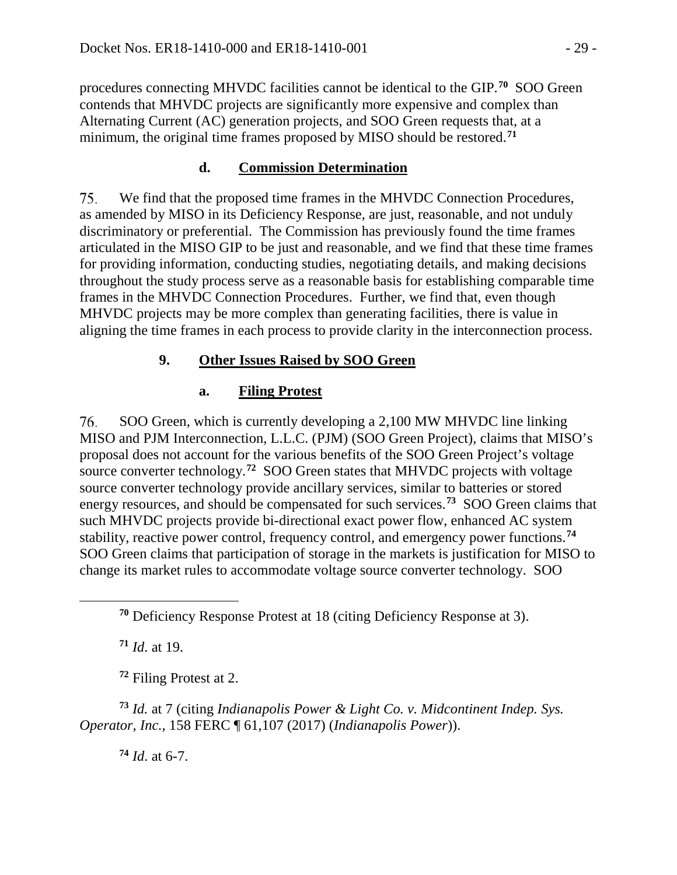procedures connecting MHVDC facilities cannot be identical to the GIP.**[70](#page-28-0)** SOO Green contends that MHVDC projects are significantly more expensive and complex than Alternating Current (AC) generation projects, and SOO Green requests that, at a minimum, the original time frames proposed by MISO should be restored.**[71](#page-28-1)**

## **d. Commission Determination**

75. We find that the proposed time frames in the MHVDC Connection Procedures, as amended by MISO in its Deficiency Response, are just, reasonable, and not unduly discriminatory or preferential. The Commission has previously found the time frames articulated in the MISO GIP to be just and reasonable, and we find that these time frames for providing information, conducting studies, negotiating details, and making decisions throughout the study process serve as a reasonable basis for establishing comparable time frames in the MHVDC Connection Procedures. Further, we find that, even though MHVDC projects may be more complex than generating facilities, there is value in aligning the time frames in each process to provide clarity in the interconnection process.

## **9. Other Issues Raised by SOO Green**

## **a. Filing Protest**

SOO Green, which is currently developing a 2,100 MW MHVDC line linking 76. MISO and PJM Interconnection, L.L.C. (PJM) (SOO Green Project), claims that MISO's proposal does not account for the various benefits of the SOO Green Project's voltage source converter technology.<sup>[72](#page-28-2)</sup> SOO Green states that MHVDC projects with voltage source converter technology provide ancillary services, similar to batteries or stored energy resources, and should be compensated for such services.**[73](#page-28-3)** SOO Green claims that such MHVDC projects provide bi-directional exact power flow, enhanced AC system stability, reactive power control, frequency control, and emergency power functions.**[74](#page-28-4)** SOO Green claims that participation of storage in the markets is justification for MISO to change its market rules to accommodate voltage source converter technology. SOO

**<sup>71</sup>** *Id*. at 19.

<span id="page-28-1"></span><span id="page-28-0"></span> $\overline{a}$ 

**<sup>72</sup>** Filing Protest at 2.

<span id="page-28-4"></span><span id="page-28-3"></span><span id="page-28-2"></span>**<sup>73</sup>** *Id.* at 7 (citing *Indianapolis Power & Light Co. v. Midcontinent Indep. Sys. Operator, Inc.*, 158 FERC ¶ 61,107 (2017) (*Indianapolis Power*)).

**<sup>74</sup>** *Id*. at 6-7.

**<sup>70</sup>** Deficiency Response Protest at 18 (citing Deficiency Response at 3).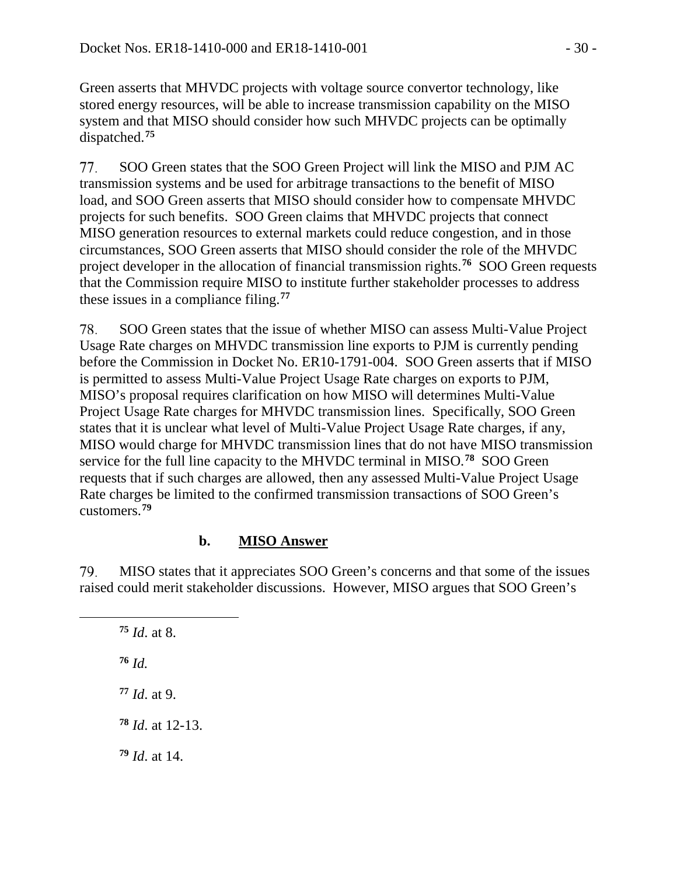Green asserts that MHVDC projects with voltage source convertor technology, like stored energy resources, will be able to increase transmission capability on the MISO system and that MISO should consider how such MHVDC projects can be optimally dispatched.**[75](#page-29-0)**

77. SOO Green states that the SOO Green Project will link the MISO and PJM AC transmission systems and be used for arbitrage transactions to the benefit of MISO load, and SOO Green asserts that MISO should consider how to compensate MHVDC projects for such benefits. SOO Green claims that MHVDC projects that connect MISO generation resources to external markets could reduce congestion, and in those circumstances, SOO Green asserts that MISO should consider the role of the MHVDC project developer in the allocation of financial transmission rights.**[76](#page-29-1)** SOO Green requests that the Commission require MISO to institute further stakeholder processes to address these issues in a compliance filing.**[77](#page-29-2)**

78. SOO Green states that the issue of whether MISO can assess Multi-Value Project Usage Rate charges on MHVDC transmission line exports to PJM is currently pending before the Commission in Docket No. ER10-1791-004. SOO Green asserts that if MISO is permitted to assess Multi-Value Project Usage Rate charges on exports to PJM, MISO's proposal requires clarification on how MISO will determines Multi-Value Project Usage Rate charges for MHVDC transmission lines. Specifically, SOO Green states that it is unclear what level of Multi-Value Project Usage Rate charges, if any, MISO would charge for MHVDC transmission lines that do not have MISO transmission service for the full line capacity to the MHVDC terminal in MISO.**[78](#page-29-3)** SOO Green requests that if such charges are allowed, then any assessed Multi-Value Project Usage Rate charges be limited to the confirmed transmission transactions of SOO Green's customers.**[79](#page-29-4)**

#### **b. MISO Answer**

<span id="page-29-1"></span><span id="page-29-0"></span>79. MISO states that it appreciates SOO Green's concerns and that some of the issues raised could merit stakeholder discussions. However, MISO argues that SOO Green's

<span id="page-29-4"></span><span id="page-29-3"></span><span id="page-29-2"></span> *Id*. at 8. **<sup>76</sup>** *Id. Id*. at 9. *Id*. at 12-13. *Id*. at 14.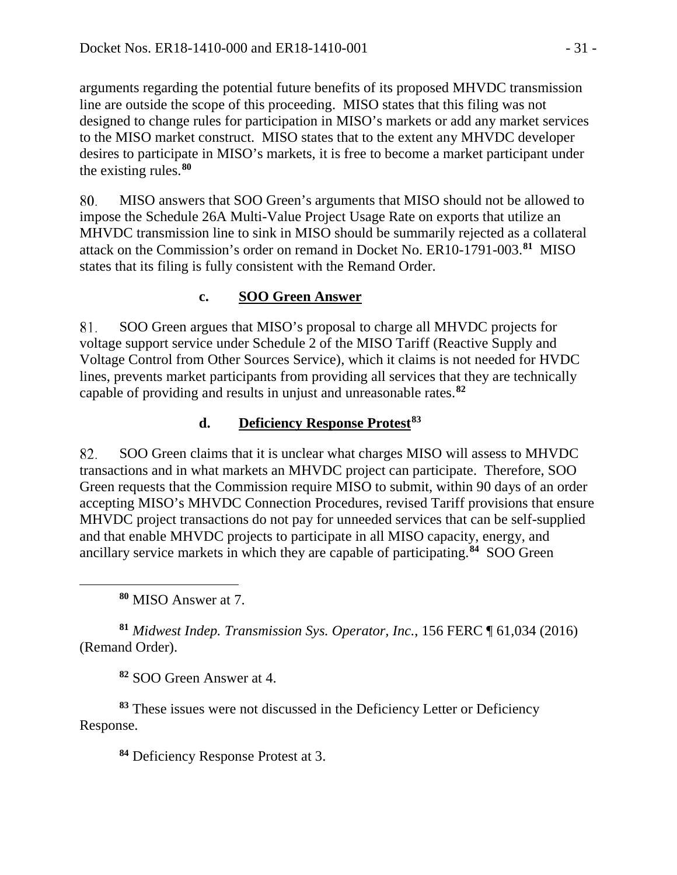arguments regarding the potential future benefits of its proposed MHVDC transmission line are outside the scope of this proceeding. MISO states that this filing was not designed to change rules for participation in MISO's markets or add any market services to the MISO market construct. MISO states that to the extent any MHVDC developer desires to participate in MISO's markets, it is free to become a market participant under the existing rules.**[80](#page-30-0)**

80. MISO answers that SOO Green's arguments that MISO should not be allowed to impose the Schedule 26A Multi-Value Project Usage Rate on exports that utilize an MHVDC transmission line to sink in MISO should be summarily rejected as a collateral attack on the Commission's order on remand in Docket No. ER10-1791-003.**[81](#page-30-1)** MISO states that its filing is fully consistent with the Remand Order.

## **c. SOO Green Answer**

81. SOO Green argues that MISO's proposal to charge all MHVDC projects for voltage support service under Schedule 2 of the MISO Tariff (Reactive Supply and Voltage Control from Other Sources Service), which it claims is not needed for HVDC lines, prevents market participants from providing all services that they are technically capable of providing and results in unjust and unreasonable rates.**[82](#page-30-2)**

## **d. Deficiency Response Protest[83](#page-30-3)**

82. SOO Green claims that it is unclear what charges MISO will assess to MHVDC transactions and in what markets an MHVDC project can participate. Therefore, SOO Green requests that the Commission require MISO to submit, within 90 days of an order accepting MISO's MHVDC Connection Procedures, revised Tariff provisions that ensure MHVDC project transactions do not pay for unneeded services that can be self-supplied and that enable MHVDC projects to participate in all MISO capacity, energy, and ancillary service markets in which they are capable of participating.**[84](#page-30-4)** SOO Green

**<sup>80</sup>** MISO Answer at 7.

<span id="page-30-0"></span> $\overline{a}$ 

<span id="page-30-1"></span>**<sup>81</sup>** *Midwest Indep. Transmission Sys. Operator, Inc.*, 156 FERC ¶ 61,034 (2016) (Remand Order).

**<sup>82</sup>** SOO Green Answer at 4.

<span id="page-30-4"></span><span id="page-30-3"></span><span id="page-30-2"></span>**<sup>83</sup>** These issues were not discussed in the Deficiency Letter or Deficiency Response.

**<sup>84</sup>** Deficiency Response Protest at 3.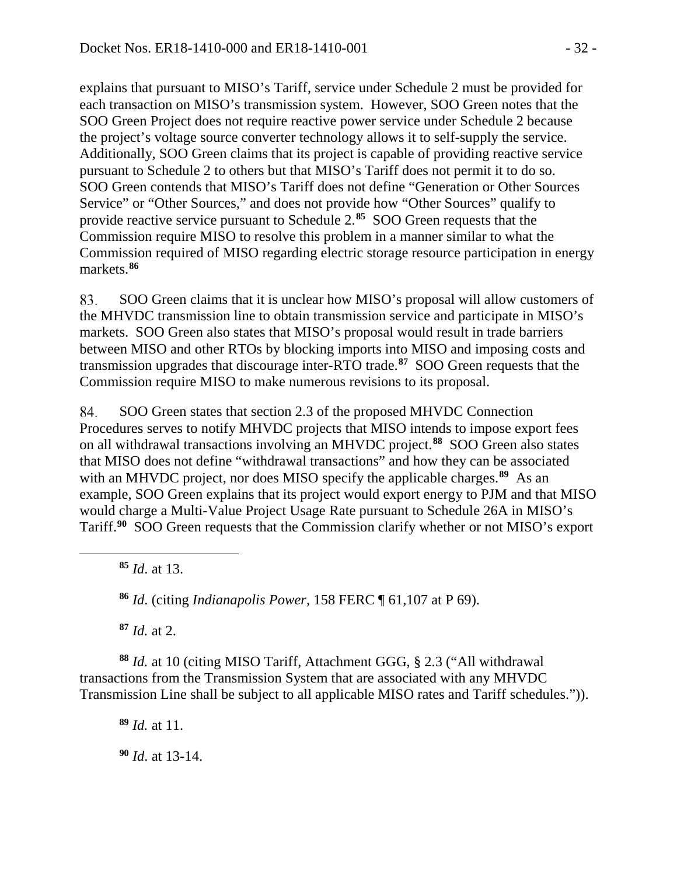explains that pursuant to MISO's Tariff, service under Schedule 2 must be provided for each transaction on MISO's transmission system. However, SOO Green notes that the SOO Green Project does not require reactive power service under Schedule 2 because the project's voltage source converter technology allows it to self-supply the service. Additionally, SOO Green claims that its project is capable of providing reactive service pursuant to Schedule 2 to others but that MISO's Tariff does not permit it to do so. SOO Green contends that MISO's Tariff does not define "Generation or Other Sources Service" or "Other Sources," and does not provide how "Other Sources" qualify to provide reactive service pursuant to Schedule 2.**[85](#page-31-0)** SOO Green requests that the Commission require MISO to resolve this problem in a manner similar to what the Commission required of MISO regarding electric storage resource participation in energy markets.**[86](#page-31-1)**

83. SOO Green claims that it is unclear how MISO's proposal will allow customers of the MHVDC transmission line to obtain transmission service and participate in MISO's markets. SOO Green also states that MISO's proposal would result in trade barriers between MISO and other RTOs by blocking imports into MISO and imposing costs and transmission upgrades that discourage inter-RTO trade.**[87](#page-31-2)** SOO Green requests that the Commission require MISO to make numerous revisions to its proposal.

84. SOO Green states that section 2.3 of the proposed MHVDC Connection Procedures serves to notify MHVDC projects that MISO intends to impose export fees on all withdrawal transactions involving an MHVDC project.**[88](#page-31-3)** SOO Green also states that MISO does not define "withdrawal transactions" and how they can be associated with an MHVDC project, nor does MISO specify the applicable charges.**[89](#page-31-4)** As an example, SOO Green explains that its project would export energy to PJM and that MISO would charge a Multi-Value Project Usage Rate pursuant to Schedule 26A in MISO's Tariff.**[90](#page-31-5)** SOO Green requests that the Commission clarify whether or not MISO's export

**<sup>85</sup>** *Id*. at 13.

<span id="page-31-1"></span><span id="page-31-0"></span> $\overline{a}$ 

**<sup>86</sup>** *Id*. (citing *Indianapolis Power*, 158 FERC ¶ 61,107 at P 69).

**<sup>87</sup>** *Id.* at 2.

<span id="page-31-4"></span><span id="page-31-3"></span><span id="page-31-2"></span>**<sup>88</sup>** *Id.* at 10 (citing MISO Tariff, Attachment GGG, § 2.3 ("All withdrawal transactions from the Transmission System that are associated with any MHVDC Transmission Line shall be subject to all applicable MISO rates and Tariff schedules.")).

**<sup>89</sup>** *Id.* at 11.

<span id="page-31-5"></span>**<sup>90</sup>** *Id*. at 13-14.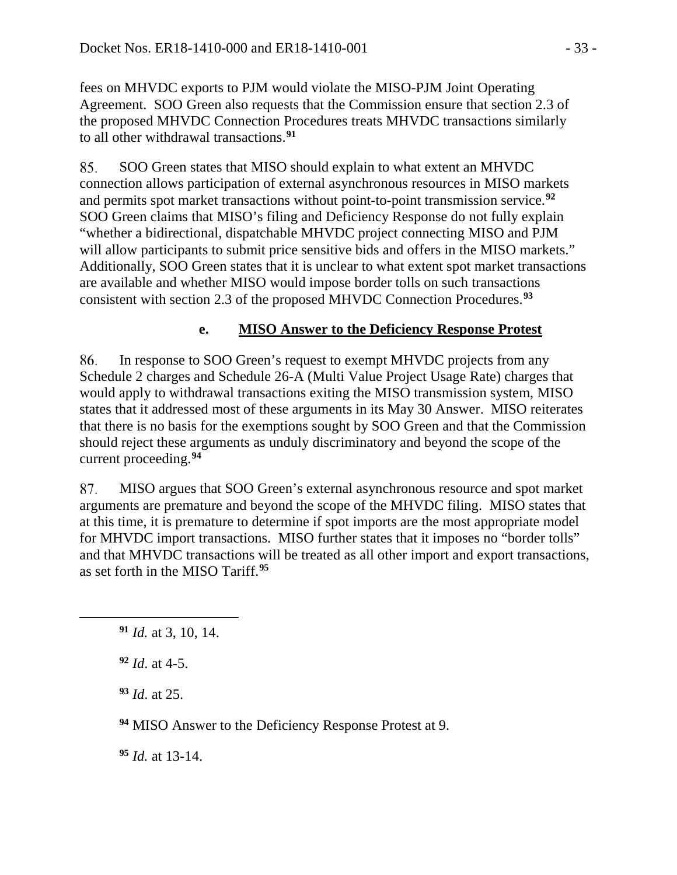fees on MHVDC exports to PJM would violate the MISO-PJM Joint Operating Agreement. SOO Green also requests that the Commission ensure that section 2.3 of the proposed MHVDC Connection Procedures treats MHVDC transactions similarly to all other withdrawal transactions.**[91](#page-32-0)**

85. SOO Green states that MISO should explain to what extent an MHVDC connection allows participation of external asynchronous resources in MISO markets and permits spot market transactions without point-to-point transmission service.**[92](#page-32-1)** SOO Green claims that MISO's filing and Deficiency Response do not fully explain "whether a bidirectional, dispatchable MHVDC project connecting MISO and PJM will allow participants to submit price sensitive bids and offers in the MISO markets." Additionally, SOO Green states that it is unclear to what extent spot market transactions are available and whether MISO would impose border tolls on such transactions consistent with section 2.3 of the proposed MHVDC Connection Procedures. **[93](#page-32-2)**

#### **e. MISO Answer to the Deficiency Response Protest**

86. In response to SOO Green's request to exempt MHVDC projects from any Schedule 2 charges and Schedule 26-A (Multi Value Project Usage Rate) charges that would apply to withdrawal transactions exiting the MISO transmission system, MISO states that it addressed most of these arguments in its May 30 Answer. MISO reiterates that there is no basis for the exemptions sought by SOO Green and that the Commission should reject these arguments as unduly discriminatory and beyond the scope of the current proceeding.**[94](#page-32-3)**

87. MISO argues that SOO Green's external asynchronous resource and spot market arguments are premature and beyond the scope of the MHVDC filing. MISO states that at this time, it is premature to determine if spot imports are the most appropriate model for MHVDC import transactions. MISO further states that it imposes no "border tolls" and that MHVDC transactions will be treated as all other import and export transactions, as set forth in the MISO Tariff.**[95](#page-32-4)**

**<sup>92</sup>** *Id*. at 4-5.

<span id="page-32-2"></span><span id="page-32-1"></span><span id="page-32-0"></span> $\overline{a}$ 

**<sup>93</sup>** *Id*. at 25.

<span id="page-32-3"></span>**<sup>94</sup>** MISO Answer to the Deficiency Response Protest at 9.

<span id="page-32-4"></span>**<sup>95</sup>** *Id.* at 13-14.

**<sup>91</sup>** *Id.* at 3, 10, 14.